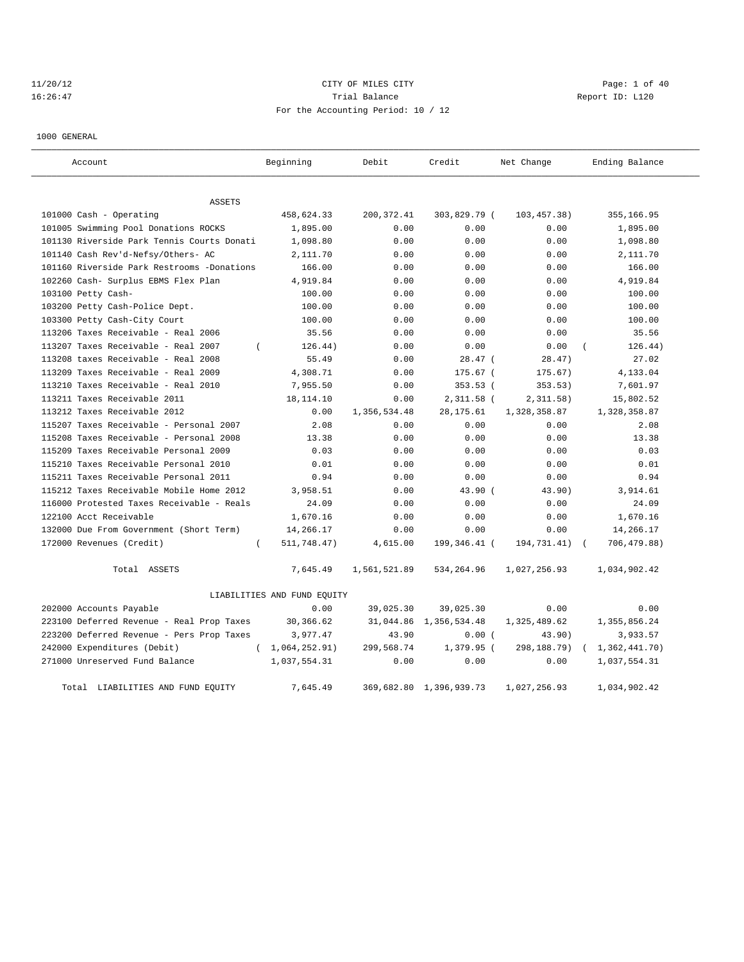# 11/20/12 CITY OF MILES CITY Page: 1 of 40 16:26:47 Trial Balance Trial Balance Report ID: L120 For the Accounting Period: 10 / 12

1000 GENERAL

| Account                                    | Beginning                   | Debit        | Credit                  | Net Change   | Ending Balance |
|--------------------------------------------|-----------------------------|--------------|-------------------------|--------------|----------------|
| <b>ASSETS</b>                              |                             |              |                         |              |                |
| 101000 Cash - Operating                    | 458,624.33                  | 200, 372.41  | 303,829.79 (            | 103,457.38)  | 355,166.95     |
| 101005 Swimming Pool Donations ROCKS       | 1,895.00                    | 0.00         | 0.00                    | 0.00         | 1,895.00       |
| 101130 Riverside Park Tennis Courts Donati | 1,098.80                    | 0.00         | 0.00                    | 0.00         | 1,098.80       |
| 101140 Cash Rev'd-Nefsy/Others- AC         | 2,111.70                    | 0.00         | 0.00                    | 0.00         | 2,111.70       |
| 101160 Riverside Park Restrooms -Donations | 166.00                      | 0.00         | 0.00                    | 0.00         | 166.00         |
| 102260 Cash- Surplus EBMS Flex Plan        | 4,919.84                    | 0.00         | 0.00                    | 0.00         | 4,919.84       |
| 103100 Petty Cash-                         | 100.00                      | 0.00         | 0.00                    | 0.00         | 100.00         |
| 103200 Petty Cash-Police Dept.             | 100.00                      | 0.00         | 0.00                    | 0.00         | 100.00         |
| 103300 Petty Cash-City Court               | 100.00                      | 0.00         | 0.00                    | 0.00         | 100.00         |
| 113206 Taxes Receivable - Real 2006        | 35.56                       | 0.00         | 0.00                    | 0.00         | 35.56          |
| 113207 Taxes Receivable - Real 2007        | 126.44)<br>$\left($         | 0.00         | 0.00                    | 0.00         | 126.44)        |
| 113208 taxes Receivable - Real 2008        | 55.49                       | 0.00         | $28.47$ (               | 28.47)       | 27.02          |
| 113209 Taxes Receivable - Real 2009        | 4,308.71                    | 0.00         | 175.67 (                | 175.67)      | 4,133.04       |
| 113210 Taxes Receivable - Real 2010        | 7,955.50                    | 0.00         | 353.53 (                | 353.53)      | 7,601.97       |
| 113211 Taxes Receivable 2011               | 18,114.10                   | 0.00         | $2,311.58$ (            | 2,311.58)    | 15,802.52      |
| 113212 Taxes Receivable 2012               | 0.00                        | 1,356,534.48 | 28, 175.61              | 1,328,358.87 | 1,328,358.87   |
| 115207 Taxes Receivable - Personal 2007    | 2.08                        | 0.00         | 0.00                    | 0.00         | 2.08           |
| 115208 Taxes Receivable - Personal 2008    | 13.38                       | 0.00         | 0.00                    | 0.00         | 13.38          |
| 115209 Taxes Receivable Personal 2009      | 0.03                        | 0.00         | 0.00                    | 0.00         | 0.03           |
| 115210 Taxes Receivable Personal 2010      | 0.01                        | 0.00         | 0.00                    | 0.00         | 0.01           |
| 115211 Taxes Receivable Personal 2011      | 0.94                        | 0.00         | 0.00                    | 0.00         | 0.94           |
| 115212 Taxes Receivable Mobile Home 2012   | 3,958.51                    | 0.00         | 43.90 (                 | 43.90)       | 3,914.61       |
| 116000 Protested Taxes Receivable - Reals  | 24.09                       | 0.00         | 0.00                    | 0.00         | 24.09          |
| 122100 Acct Receivable                     | 1,670.16                    | 0.00         | 0.00                    | 0.00         | 1,670.16       |
| 132000 Due From Government (Short Term)    | 14,266.17                   | 0.00         | 0.00                    | 0.00         | 14,266.17      |
| 172000 Revenues (Credit)                   | 511,748.47)<br>$\left($     | 4,615.00     | 199,346.41 (            | 194,731.41)  | 706,479.88)    |
| Total ASSETS                               | 7,645.49                    | 1,561,521.89 | 534,264.96              | 1,027,256.93 | 1,034,902.42   |
|                                            | LIABILITIES AND FUND EQUITY |              |                         |              |                |
| 202000 Accounts Payable                    | 0.00                        | 39,025.30    | 39,025.30               | 0.00         | 0.00           |
| 223100 Deferred Revenue - Real Prop Taxes  | 30,366.62                   | 31,044.86    | 1,356,534.48            | 1,325,489.62 | 1,355,856.24   |
| 223200 Deferred Revenue - Pers Prop Taxes  | 3,977.47                    | 43.90        | 0.00(                   | 43.90)       | 3,933.57       |
| 242000 Expenditures (Debit)                | (1, 064, 252.91)            | 299,568.74   | 1,379.95 (              | 298,188.79)  | 1,362,441.70)  |
| 271000 Unreserved Fund Balance             | 1,037,554.31                | 0.00         | 0.00                    | 0.00         | 1,037,554.31   |
| Total LIABILITIES AND FUND EQUITY          | 7.645.49                    |              | 369,682.80 1,396,939.73 | 1,027,256.93 | 1,034,902.42   |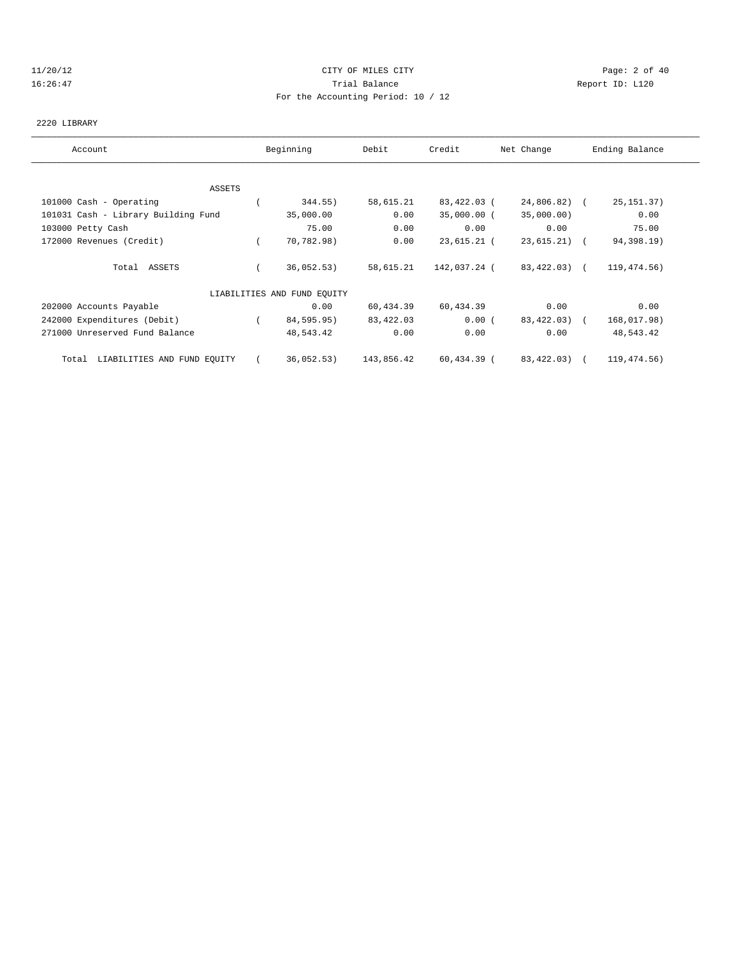#### 11/20/12 CITY OF MILES CITY Page: 2 of 40 16:26:47 Trial Balance Report ID: L120 For the Accounting Period: 10 / 12

#### 2220 LIBRARY

| Account                              | Beginning                   | Debit      | Credit       | Net Change   | Ending Balance |  |
|--------------------------------------|-----------------------------|------------|--------------|--------------|----------------|--|
|                                      |                             |            |              |              |                |  |
| ASSETS                               |                             |            |              |              |                |  |
| 101000 Cash - Operating              | 344.55)                     | 58,615.21  | 83,422.03 (  | 24,806.82) ( | 25, 151.37)    |  |
| 101031 Cash - Library Building Fund  | 35,000.00                   | 0.00       | 35,000.00 (  | 35,000.00)   | 0.00           |  |
| 103000 Petty Cash                    | 75.00                       | 0.00       | 0.00         | 0.00         | 75.00          |  |
| 172000 Revenues (Credit)             | 70,782.98)                  | 0.00       | 23,615.21 (  | 23,615.21) ( | 94,398.19)     |  |
| Total ASSETS                         | 36,052.53)                  | 58,615.21  | 142,037.24 ( | 83,422.03) ( | 119,474.56)    |  |
|                                      | LIABILITIES AND FUND EQUITY |            |              |              |                |  |
| 202000 Accounts Payable              | 0.00                        | 60,434.39  | 60,434.39    | 0.00         | 0.00           |  |
| 242000 Expenditures (Debit)          | 84,595.95)                  | 83,422.03  | 0.00(        | 83,422.03) ( | 168,017.98)    |  |
| 271000 Unreserved Fund Balance       | 48,543.42                   | 0.00       | 0.00         | 0.00         | 48,543.42      |  |
| LIABILITIES AND FUND EQUITY<br>Total | 36,052.53)                  | 143,856.42 | 60,434.39 (  | 83,422.03) ( | 119,474.56)    |  |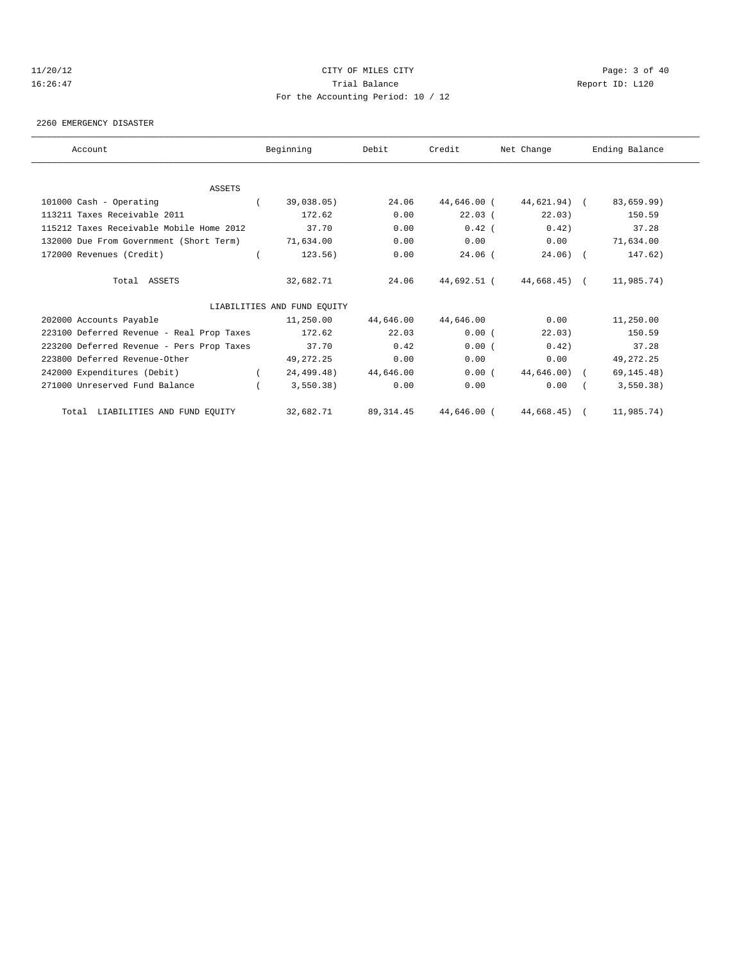# 11/20/12 CITY OF MILES CITY Page: 3 of 40 16:26:47 Trial Balance Report ID: L120 For the Accounting Period: 10 / 12

2260 EMERGENCY DISASTER

| Account                                   | Beginning                   | Debit      | Credit        | Net Change              | Ending Balance |
|-------------------------------------------|-----------------------------|------------|---------------|-------------------------|----------------|
|                                           |                             |            |               |                         |                |
| <b>ASSETS</b>                             |                             |            |               |                         |                |
| 101000 Cash - Operating                   | 39,038.05)                  | 24.06      | 44,646.00 (   | 44,621.94) (            | 83,659.99)     |
| 113211 Taxes Receivable 2011              | 172.62                      | 0.00       | 22.03(        | 22.03)                  | 150.59         |
| 115212 Taxes Receivable Mobile Home 2012  | 37.70                       | 0.00       | $0.42$ (      | 0.42)                   | 37.28          |
| 132000 Due From Government (Short Term)   | 71,634.00                   | 0.00       | 0.00          | 0.00                    | 71,634.00      |
| 172000 Revenues (Credit)                  | 123.56)                     | 0.00       | $24.06$ (     | $24.06)$ (              | 147.62)        |
| Total ASSETS                              | 32,682.71                   | 24.06      |               | 44,692.51 (44,668.45) ( | 11,985.74)     |
|                                           | LIABILITIES AND FUND EQUITY |            |               |                         |                |
| 202000 Accounts Payable                   | 11,250.00                   | 44,646.00  | 44,646.00     | 0.00                    | 11,250.00      |
| 223100 Deferred Revenue - Real Prop Taxes | 172.62                      | 22.03      | 0.00(         | 22.03)                  | 150.59         |
| 223200 Deferred Revenue - Pers Prop Taxes | 37.70                       | 0.42       | 0.00(         | 0.42)                   | 37.28          |
| 223800 Deferred Revenue-Other             | 49,272.25                   | 0.00       | 0.00          | 0.00                    | 49, 272. 25    |
| 242000 Expenditures (Debit)               | 24,499.48)                  | 44,646.00  | 0.00(         | 44,646.00) (            | 69, 145.48)    |
| 271000 Unreserved Fund Balance            | 3,550.38)                   | 0.00       | 0.00          | 0.00                    | 3,550.38)      |
| Total LIABILITIES AND FUND EQUITY         | 32,682.71                   | 89, 314.45 | $44.646.00$ ( | 44,668.45)              | 11,985.74)     |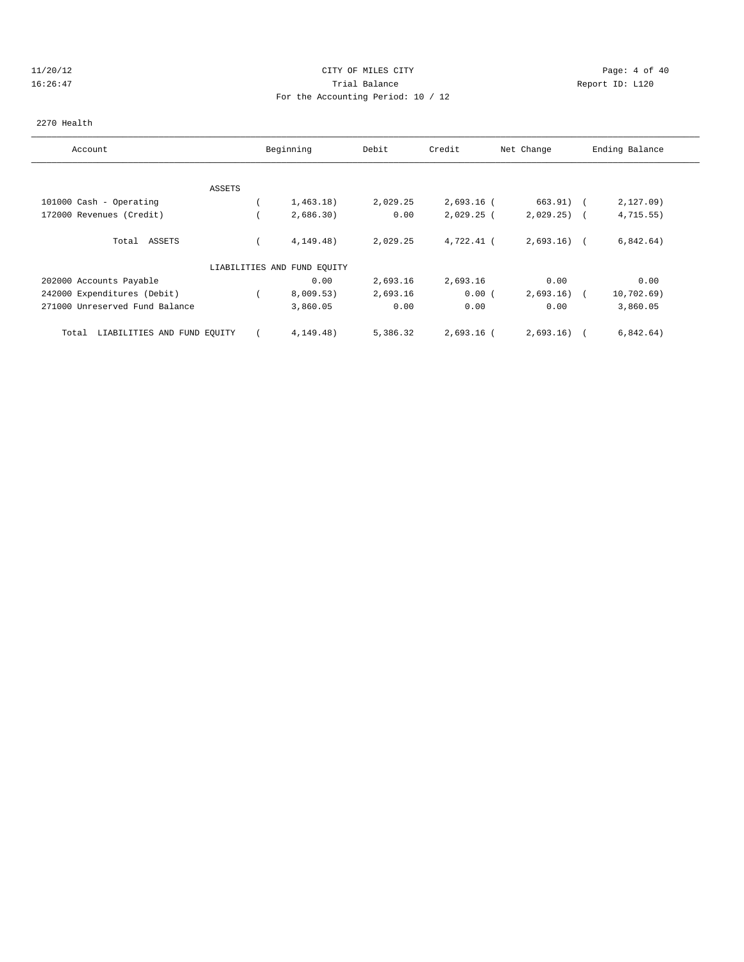#### 11/20/12 CITY OF MILES CITY Page: 4 of 40 16:26:47 Trial Balance Report ID: L120 For the Accounting Period: 10 / 12

#### 2270 Health

| Account                              | Beginning                   | Debit    | Credit       | Net Change   | Ending Balance |  |
|--------------------------------------|-----------------------------|----------|--------------|--------------|----------------|--|
|                                      |                             |          |              |              |                |  |
| ASSETS                               |                             |          |              |              |                |  |
| 101000 Cash - Operating              | 1,463.18)                   | 2,029.25 | $2,693.16$ ( | 663.91) (    | $2,127.09$ )   |  |
| 172000 Revenues (Credit)             | 2,686.30)                   | 0.00     | $2,029.25$ ( | $2,029.25$ ( | 4, 715.55)     |  |
| ASSETS<br>Total                      | 4, 149.48)                  | 2,029.25 | 4,722.41 (   | $2,693.16$ ( | 6,842.64)      |  |
|                                      | LIABILITIES AND FUND EQUITY |          |              |              |                |  |
| 202000 Accounts Payable              | 0.00                        | 2,693.16 | 2,693.16     | 0.00         | 0.00           |  |
| 242000 Expenditures (Debit)          | 8,009.53)                   | 2,693.16 | 0.00(        | 2,693.16)    | 10,702.69)     |  |
| 271000 Unreserved Fund Balance       | 3,860.05                    | 0.00     | 0.00         | 0.00         | 3,860.05       |  |
| LIABILITIES AND FUND EQUITY<br>Total | 4, 149.48)                  | 5,386.32 | $2,693.16$ ( | 2,693.16)    | 6,842.64)      |  |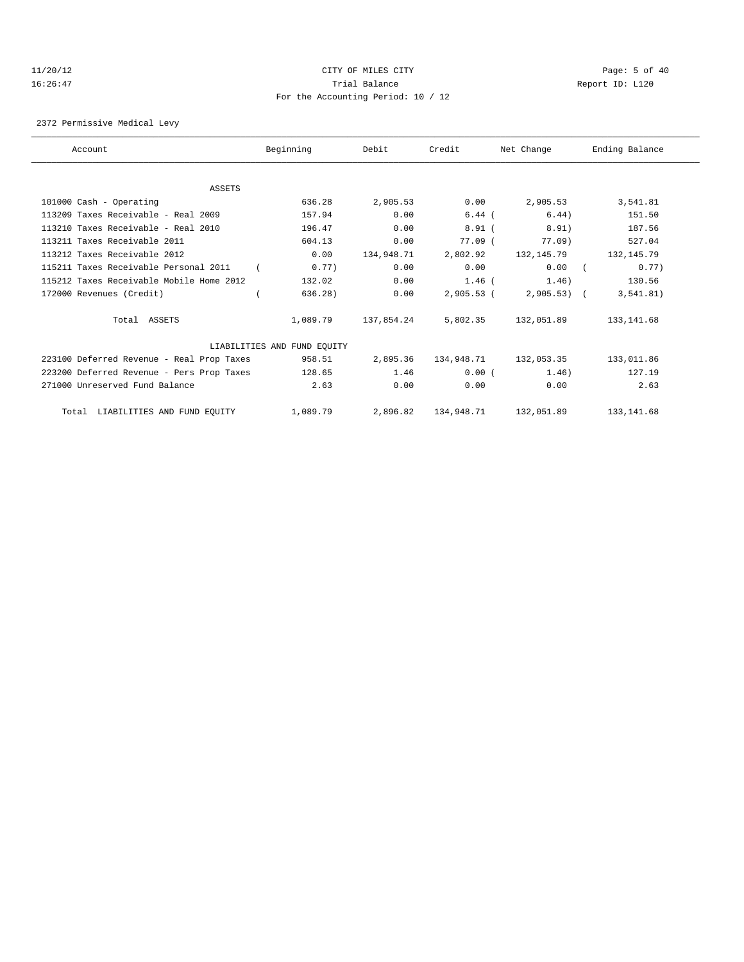# 11/20/12 CITY OF MILES CITY Page: 5 of 40 16:26:47 Trial Balance Report ID: L120 For the Accounting Period: 10 / 12

2372 Permissive Medical Levy

| Account                                   | Beginning                   | Debit      | Credit       | Net Change   | Ending Balance |
|-------------------------------------------|-----------------------------|------------|--------------|--------------|----------------|
|                                           |                             |            |              |              |                |
| ASSETS                                    |                             |            |              |              |                |
| 101000 Cash - Operating                   | 636.28                      | 2,905.53   | 0.00         | 2,905.53     | 3,541.81       |
| 113209 Taxes Receivable - Real 2009       | 157.94                      | 0.00       | $6.44$ (     | 6.44)        | 151.50         |
| 113210 Taxes Receivable - Real 2010       | 196.47                      | 0.00       | 8.91(        | 8.91)        | 187.56         |
| 113211 Taxes Receivable 2011              | 604.13                      | 0.00       | 77.09(       | $77.09$ )    | 527.04         |
| 113212 Taxes Receivable 2012              | 0.00                        | 134,948.71 | 2,802.92     | 132,145.79   | 132, 145.79    |
| 115211 Taxes Receivable Personal 2011     | 0.77)                       | 0.00       | 0.00         | 0.00         | 0.77)          |
| 115212 Taxes Receivable Mobile Home 2012  | 132.02                      | 0.00       | $1.46$ (     | 1.46)        | 130.56         |
| 172000 Revenues (Credit)                  | 636.28)                     | 0.00       | $2,905.53$ ( | $2,905.53$ ( | 3, 541.81)     |
| Total ASSETS                              | 1,089.79                    | 137,854.24 | 5,802.35     | 132,051.89   | 133, 141.68    |
|                                           | LIABILITIES AND FUND EQUITY |            |              |              |                |
| 223100 Deferred Revenue - Real Prop Taxes | 958.51                      | 2,895.36   | 134,948.71   | 132,053.35   | 133,011.86     |
| 223200 Deferred Revenue - Pers Prop Taxes | 128.65                      | 1.46       | 0.00(        | 1.46)        | 127.19         |
| 271000 Unreserved Fund Balance            | 2.63                        | 0.00       | 0.00         | 0.00         | 2.63           |
| Total LIABILITIES AND FUND EQUITY         | 1,089.79                    | 2,896.82   | 134,948.71   | 132,051.89   | 133, 141.68    |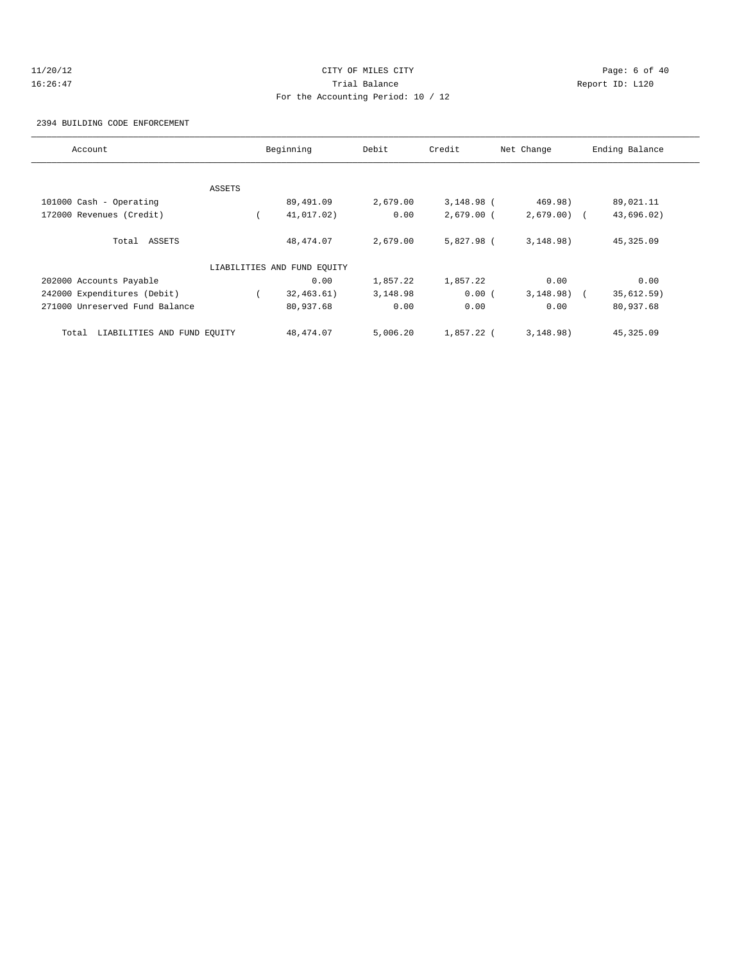# 11/20/12 CITY OF MILES CITY Page: 6 of 40 16:26:47 Trial Balance Report ID: L120 For the Accounting Period: 10 / 12

2394 BUILDING CODE ENFORCEMENT

| Account                              |        | Beginning                   | Debit    | Credit       | Net Change   | Ending Balance |
|--------------------------------------|--------|-----------------------------|----------|--------------|--------------|----------------|
|                                      |        |                             |          |              |              |                |
|                                      | ASSETS |                             |          |              |              |                |
| 101000 Cash - Operating              |        | 89,491.09                   | 2,679.00 | $3,148.98$ ( | 469.98)      | 89,021.11      |
| 172000 Revenues (Credit)             |        | 41,017.02)                  | 0.00     | $2,679.00$ ( | $2,679.00$ ( | 43,696.02)     |
| Total ASSETS                         |        | 48, 474.07                  | 2,679.00 | 5,827.98 (   | 3,148.98)    | 45,325.09      |
|                                      |        | LIABILITIES AND FUND EQUITY |          |              |              |                |
| 202000 Accounts Payable              |        | 0.00                        | 1,857.22 | 1,857.22     | 0.00         | 0.00           |
| 242000 Expenditures (Debit)          |        | 32, 463.61)                 | 3,148.98 | 0.00(        | $3,148.98$ ( | 35,612.59)     |
| 271000 Unreserved Fund Balance       |        | 80,937.68                   | 0.00     | 0.00         | 0.00         | 80,937.68      |
| LIABILITIES AND FUND EQUITY<br>Total |        | 48, 474.07                  | 5.006.20 | $1.857.22$ ( | 3,148.98)    | 45,325.09      |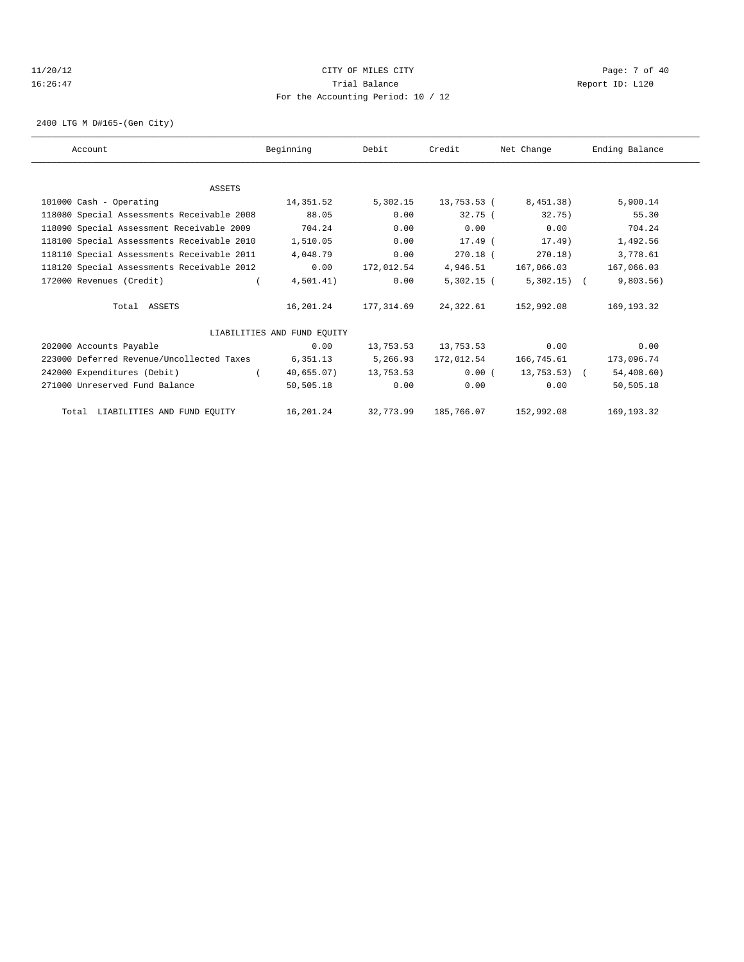#### 11/20/12 CITY OF MILES CITY Page: 7 of 40 16:26:47 Trial Balance Report ID: L120 For the Accounting Period: 10 / 12

2400 LTG M D#165-(Gen City)

| Account                                    | Beginning                   | Debit      | Credit                         | Net Change   | Ending Balance |
|--------------------------------------------|-----------------------------|------------|--------------------------------|--------------|----------------|
|                                            |                             |            |                                |              |                |
| ASSETS                                     |                             |            |                                |              |                |
| 101000 Cash - Operating                    | 14,351.52                   | 5,302.15   | 13,753.53 (                    | 8,451.38)    | 5,900.14       |
| 118080 Special Assessments Receivable 2008 | 88.05                       | 0.00       | $32.75$ (                      | 32.75)       | 55.30          |
| 118090 Special Assessment Receivable 2009  | 704.24                      | 0.00       | 0.00                           | 0.00         | 704.24         |
| 118100 Special Assessments Receivable 2010 | 1,510.05                    | 0.00       | $17.49$ (                      | 17.49)       | 1,492.56       |
| 118110 Special Assessments Receivable 2011 | 4,048.79                    | 0.00       | $270.18$ (                     | 270.18)      | 3,778.61       |
| 118120 Special Assessments Receivable 2012 | 0.00                        | 172,012.54 | 4,946.51                       | 167,066.03   | 167,066.03     |
| 172000 Revenues (Credit)                   | 4,501.41)                   | 0.00       | $5,302.15$ (                   | $5,302.15$ ( | 9,803.56)      |
| Total ASSETS                               | 16,201.24                   | 177,314.69 | 24,322.61                      | 152,992.08   | 169, 193. 32   |
|                                            | LIABILITIES AND FUND EQUITY |            |                                |              |                |
| 202000 Accounts Payable                    | 0.00                        |            | 13,753.53 13,753.53            | 0.00         | 0.00           |
| 223000 Deferred Revenue/Uncollected Taxes  | 6,351.13                    | 5,266.93   | 172,012.54                     | 166,745.61   | 173,096.74     |
| 242000 Expenditures (Debit)                | $\sqrt{2}$<br>40,655.07)    | 13,753.53  | 0.00(                          | 13,753.53) ( | 54,408.60)     |
| 271000 Unreserved Fund Balance             | 50,505.18                   | 0.00       | 0.00                           | 0.00         | 50,505.18      |
| Total LIABILITIES AND FUND EQUITY          |                             |            | 16,201.24 32,773.99 185,766.07 | 152,992.08   | 169, 193. 32   |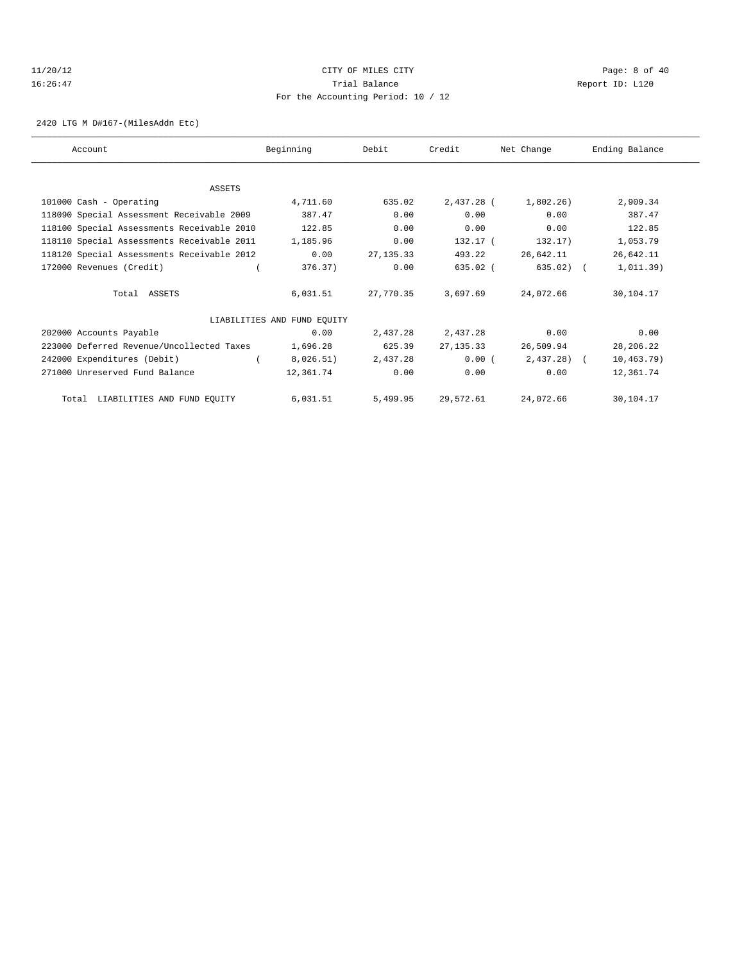# 11/20/12 CITY OF MILES CITY Page: 8 of 40 16:26:47 Trial Balance Report ID: L120 For the Accounting Period: 10 / 12

2420 LTG M D#167-(MilesAddn Etc)

| Account                                    | Beginning                   | Debit      | Credit     | Net Change   | Ending Balance |
|--------------------------------------------|-----------------------------|------------|------------|--------------|----------------|
|                                            |                             |            |            |              |                |
| <b>ASSETS</b>                              |                             |            |            |              |                |
| 101000 Cash - Operating                    | 4,711.60                    | 635.02     | 2,437.28 ( | 1,802.26)    | 2,909.34       |
| 118090 Special Assessment Receivable 2009  | 387.47                      | 0.00       | 0.00       | 0.00         | 387.47         |
| 118100 Special Assessments Receivable 2010 | 122.85                      | 0.00       | 0.00       | 0.00         | 122.85         |
| 118110 Special Assessments Receivable 2011 | 1,185.96                    | 0.00       | 132.17 (   | 132.17)      | 1,053.79       |
| 118120 Special Assessments Receivable 2012 | 0.00                        | 27, 135.33 | 493.22     | 26,642.11    | 26,642.11      |
| 172000 Revenues (Credit)                   | 376.37)                     | 0.00       | 635.02 (   | 635.02) (    | 1,011.39)      |
| Total ASSETS                               | 6,031.51                    | 27,770.35  | 3,697.69   | 24,072.66    | 30,104.17      |
|                                            | LIABILITIES AND FUND EQUITY |            |            |              |                |
| 202000 Accounts Payable                    | 0.00                        | 2,437.28   | 2,437.28   | 0.00         | 0.00           |
| 223000 Deferred Revenue/Uncollected Taxes  | 1,696.28                    | 625.39     | 27, 135.33 | 26,509.94    | 28,206.22      |
| 242000 Expenditures (Debit)                | 8,026.51)                   | 2,437.28   | 0.00(      | $2,437.28$ ( | 10, 463.79)    |
| 271000 Unreserved Fund Balance             | 12,361.74                   | 0.00       | 0.00       | 0.00         | 12,361.74      |
| Total LIABILITIES AND FUND EQUITY          | 6,031.51                    | 5,499.95   | 29,572.61  | 24,072.66    | 30,104.17      |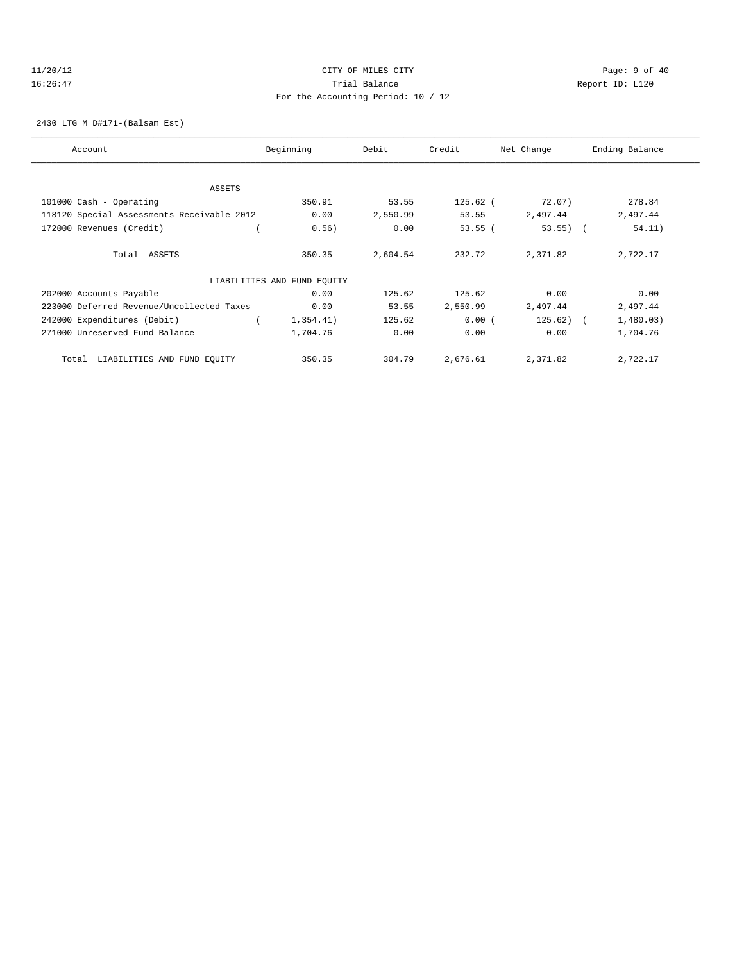#### 11/20/12 CITY OF MILES CITY Page: 9 of 40 16:26:47 Trial Balance Report ID: L120 For the Accounting Period: 10 / 12

2430 LTG M D#171-(Balsam Est)

| Account                                    | Beginning                   | Debit    | Credit     | Net Change | Ending Balance |
|--------------------------------------------|-----------------------------|----------|------------|------------|----------------|
|                                            |                             |          |            |            |                |
| ASSETS                                     |                             |          |            |            |                |
| 101000 Cash - Operating                    | 350.91                      | 53.55    | $125.62$ ( | 72.07)     | 278.84         |
| 118120 Special Assessments Receivable 2012 | 0.00                        | 2,550.99 | 53.55      | 2,497.44   | 2,497.44       |
| 172000 Revenues (Credit)                   | 0.56)                       | 0.00     | $53.55$ (  | $53.55)$ ( | 54.11)         |
| Total ASSETS                               | 350.35                      | 2,604.54 | 232.72     | 2,371.82   | 2,722.17       |
|                                            | LIABILITIES AND FUND EQUITY |          |            |            |                |
| 202000 Accounts Payable                    | 0.00                        | 125.62   | 125.62     | 0.00       | 0.00           |
| 223000 Deferred Revenue/Uncollected Taxes  | 0.00                        | 53.55    | 2,550.99   | 2,497.44   | 2,497.44       |
| 242000 Expenditures (Debit)                | 1,354.41)                   | 125.62   | 0.00(      | $125.62$ ( | 1,480.03)      |
| 271000 Unreserved Fund Balance             | 1,704.76                    | 0.00     | 0.00       | 0.00       | 1,704.76       |
| LIABILITIES AND FUND EQUITY<br>Total       | 350.35                      | 304.79   | 2,676.61   | 2,371.82   | 2,722.17       |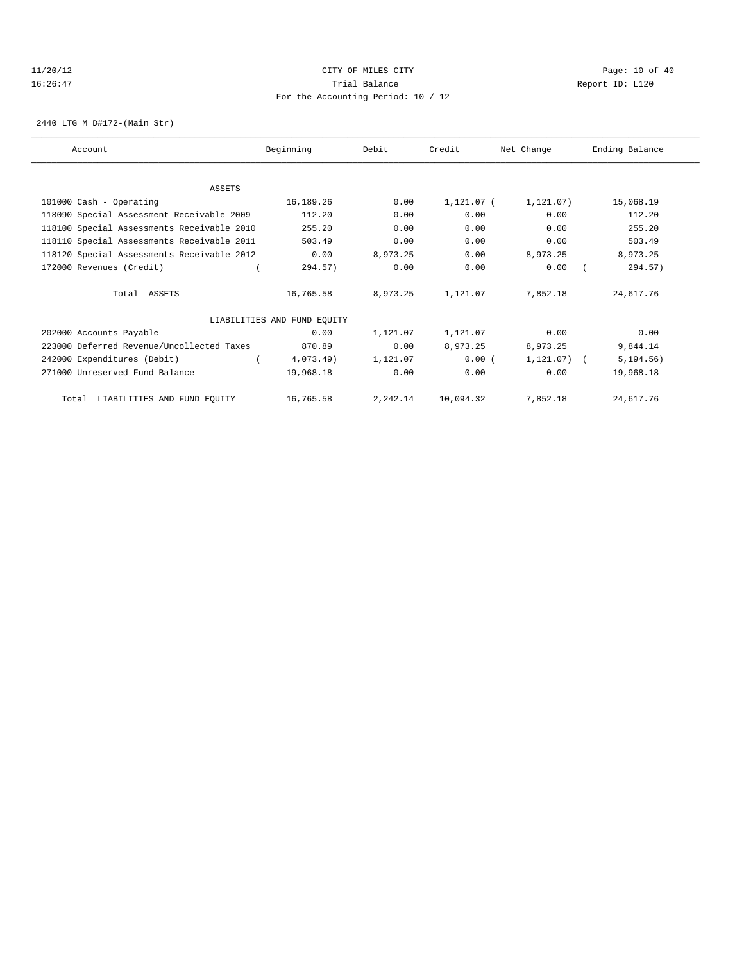#### 11/20/12 **Page: 10 of 40** CITY OF MILES CITY **Page: 10 of 40** 16:26:47 Trial Balance Report ID: L120 For the Accounting Period: 10 / 12

2440 LTG M D#172-(Main Str)

| Account                                    | Beginning                   | Debit    | Credit     | Net Change     | Ending Balance |
|--------------------------------------------|-----------------------------|----------|------------|----------------|----------------|
|                                            |                             |          |            |                |                |
| <b>ASSETS</b>                              |                             |          |            |                |                |
| 101000 Cash - Operating                    | 16,189.26                   | 0.00     | 1,121.07 ( | 1, 121.07)     | 15,068.19      |
| 118090 Special Assessment Receivable 2009  | 112.20                      | 0.00     | 0.00       | 0.00           | 112.20         |
| 118100 Special Assessments Receivable 2010 | 255.20                      | 0.00     | 0.00       | 0.00           | 255.20         |
| 118110 Special Assessments Receivable 2011 | 503.49                      | 0.00     | 0.00       | 0.00           | 503.49         |
| 118120 Special Assessments Receivable 2012 | 0.00                        | 8.973.25 | 0.00       | 8,973.25       | 8,973.25       |
| 172000 Revenues (Credit)                   | 294.57)                     | 0.00     | 0.00       | 0.00           | 294.57)        |
| Total ASSETS                               | 16,765.58                   | 8,973.25 | 1,121.07   | 7,852.18       | 24,617.76      |
|                                            | LIABILITIES AND FUND EQUITY |          |            |                |                |
| 202000 Accounts Payable                    | 0.00                        | 1,121.07 | 1,121.07   | 0.00           | 0.00           |
| 223000 Deferred Revenue/Uncollected Taxes  | 870.89                      | 0.00     | 8,973.25   | 8,973.25       | 9,844.14       |
| 242000 Expenditures (Debit)                | 4,073.49)                   | 1,121.07 | 0.00(      | $1,121.07$ ) ( | 5, 194.56)     |
| 271000 Unreserved Fund Balance             | 19,968.18                   | 0.00     | 0.00       | 0.00           | 19,968.18      |
| Total LIABILITIES AND FUND EQUITY          | 16,765.58                   | 2,242.14 | 10,094.32  | 7,852.18       | 24,617.76      |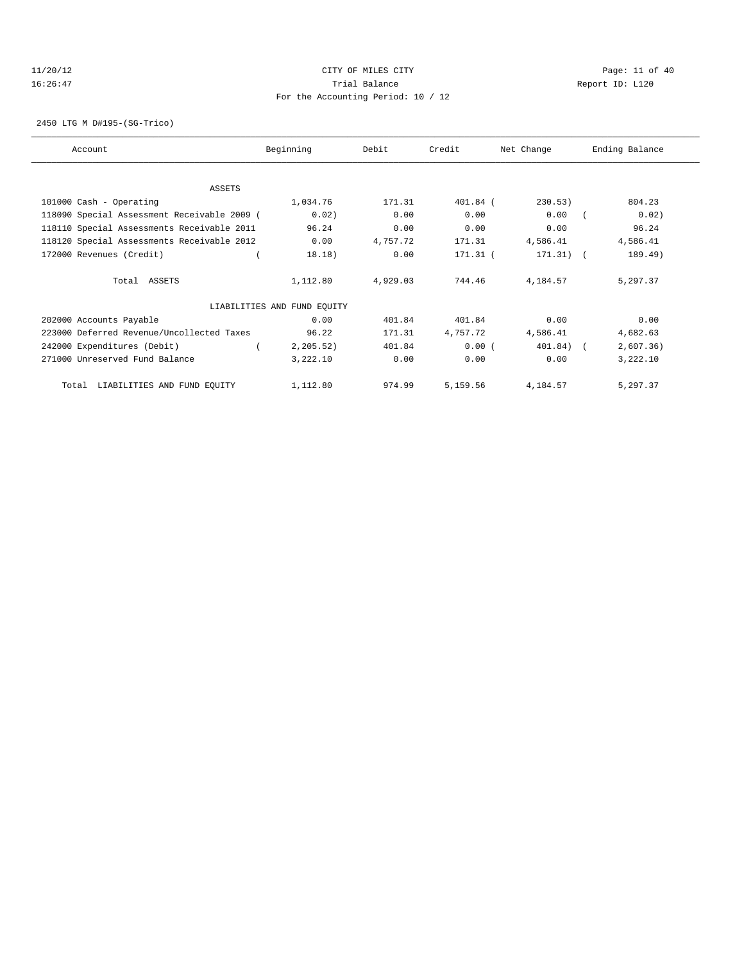#### 11/20/12 **CITY OF MILES CITY CITY CITY Page: 11 of 40** 16:26:47 Trial Balance Report ID: L120 For the Accounting Period: 10 / 12

2450 LTG M D#195-(SG-Trico)

| Account                                     | Beginning                   | Debit    | Credit     | Net Change  | Ending Balance |
|---------------------------------------------|-----------------------------|----------|------------|-------------|----------------|
|                                             |                             |          |            |             |                |
| <b>ASSETS</b>                               |                             |          |            |             |                |
| 101000 Cash - Operating                     | 1,034.76                    | 171.31   | $401.84$ ( | 230.53)     | 804.23         |
| 118090 Special Assessment Receivable 2009 ( | 0.02)                       | 0.00     | 0.00       | 0.00        | 0.02)          |
| 118110 Special Assessments Receivable 2011  | 96.24                       | 0.00     | 0.00       | 0.00        | 96.24          |
| 118120 Special Assessments Receivable 2012  | 0.00                        | 4,757.72 | 171.31     | 4,586.41    | 4,586.41       |
| 172000 Revenues (Credit)                    | 18.18)                      | 0.00     | 171.31 (   | $171.31)$ ( | 189.49)        |
| Total ASSETS                                | 1,112.80                    | 4,929.03 | 744.46     | 4,184.57    | 5,297.37       |
|                                             | LIABILITIES AND FUND EQUITY |          |            |             |                |
| 202000 Accounts Payable                     | 0.00                        | 401.84   | 401.84     | 0.00        | 0.00           |
| 223000 Deferred Revenue/Uncollected Taxes   | 96.22                       | 171.31   | 4,757.72   | 4,586.41    | 4,682.63       |
| 242000 Expenditures (Debit)                 | 2, 205.52)                  | 401.84   | 0.00(      | 401.84) (   | 2,607.36)      |
| 271000 Unreserved Fund Balance              | 3,222.10                    | 0.00     | 0.00       | 0.00        | 3,222.10       |
| Total LIABILITIES AND FUND EQUITY           | 1,112.80                    | 974.99   | 5,159.56   | 4,184.57    | 5,297.37       |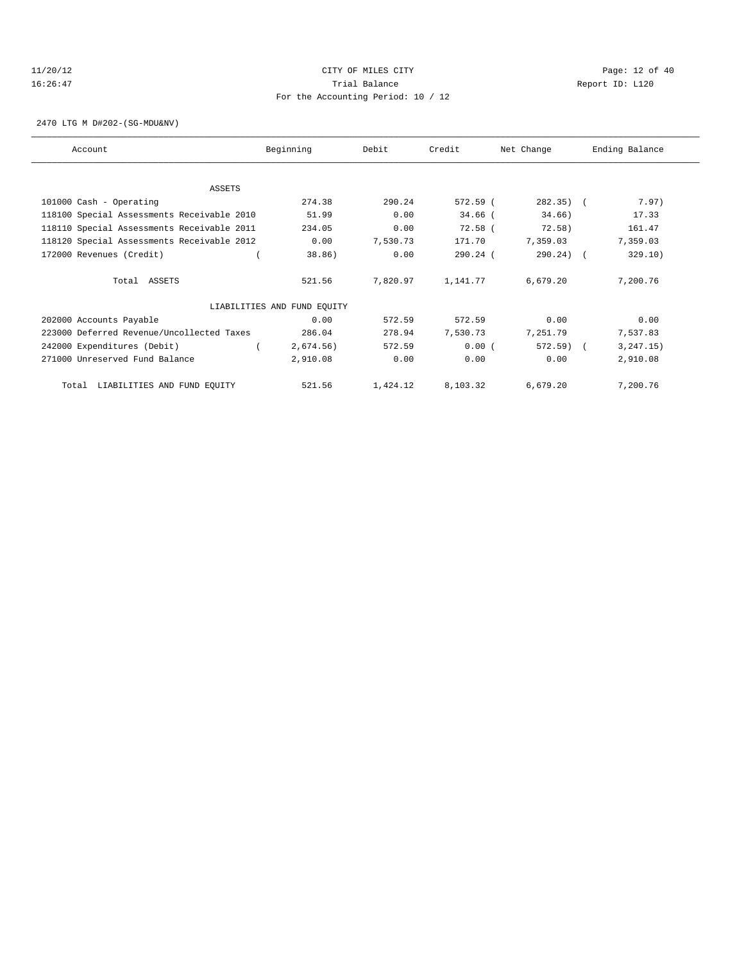#### 11/20/12 **Page: 12 of 40** CITY OF MILES CITY **Page: 12 of 40** 16:26:47 Trial Balance Report ID: L120 For the Accounting Period: 10 / 12

2470 LTG M D#202-(SG-MDU&NV)

| Account                                    | Beginning                   | Debit    | Credit     | Net Change | Ending Balance |
|--------------------------------------------|-----------------------------|----------|------------|------------|----------------|
|                                            |                             |          |            |            |                |
| ASSETS                                     |                             |          |            |            |                |
| 101000 Cash - Operating                    | 274.38                      | 290.24   | 572.59 (   | 282.35) (  | 7.97)          |
| 118100 Special Assessments Receivable 2010 | 51.99                       | 0.00     | $34.66$ (  | 34.66)     | 17.33          |
| 118110 Special Assessments Receivable 2011 | 234.05                      | 0.00     | $72.58$ (  | 72.58)     | 161.47         |
| 118120 Special Assessments Receivable 2012 | 0.00                        | 7,530.73 | 171.70     | 7,359.03   | 7,359.03       |
| 172000 Revenues (Credit)                   | 38.86)                      | 0.00     | $290.24$ ( | 290.24) (  | 329.10)        |
| Total ASSETS                               | 521.56                      | 7,820.97 | 1,141.77   | 6,679.20   | 7,200.76       |
|                                            | LIABILITIES AND FUND EQUITY |          |            |            |                |
| 202000 Accounts Payable                    | 0.00                        | 572.59   | 572.59     | 0.00       | 0.00           |
| 223000 Deferred Revenue/Uncollected Taxes  | 286.04                      | 278.94   | 7,530.73   | 7,251.79   | 7,537.83       |
| 242000 Expenditures (Debit)                | 2,674.56)                   | 572.59   | 0.00(      | $572.59$ ( | 3, 247.15)     |
| 271000 Unreserved Fund Balance             | 2,910.08                    | 0.00     | 0.00       | 0.00       | 2,910.08       |
| Total LIABILITIES AND FUND EQUITY          | 521.56                      | 1,424.12 | 8,103.32   | 6,679.20   | 7,200.76       |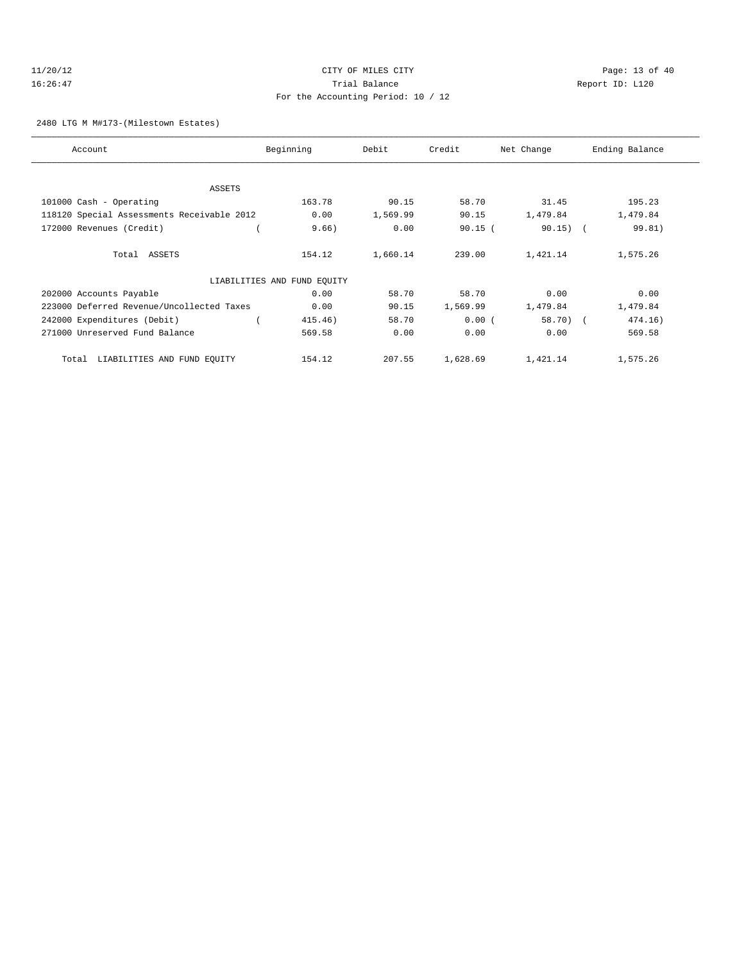#### 11/20/12 **Page: 13 of 40** CITY OF MILES CITY **CITY** Page: 13 of 40 16:26:47 Trial Balance Report ID: L120 For the Accounting Period: 10 / 12

2480 LTG M M#173-(Milestown Estates)

| Account                                    | Beginning                   | Debit    | Credit    | Net Change | Ending Balance |
|--------------------------------------------|-----------------------------|----------|-----------|------------|----------------|
|                                            |                             |          |           |            |                |
| ASSETS                                     |                             |          |           |            |                |
| 101000 Cash - Operating                    | 163.78                      | 90.15    | 58.70     | 31.45      | 195.23         |
| 118120 Special Assessments Receivable 2012 | 0.00                        | 1,569.99 | 90.15     | 1,479.84   | 1,479.84       |
| 172000 Revenues (Credit)                   | 9.66)                       | 0.00     | $90.15$ ( | $90.15)$ ( | 99.81)         |
| Total ASSETS                               | 154.12                      | 1,660.14 | 239.00    | 1,421.14   | 1,575.26       |
|                                            | LIABILITIES AND FUND EQUITY |          |           |            |                |
| 202000 Accounts Payable                    | 0.00                        | 58.70    | 58.70     | 0.00       | 0.00           |
| 223000 Deferred Revenue/Uncollected Taxes  | 0.00                        | 90.15    | 1,569.99  | 1,479.84   | 1,479.84       |
| 242000 Expenditures (Debit)                | 415.46)                     | 58.70    | 0.00(     | $58.70$ (  | 474.16)        |
| 271000 Unreserved Fund Balance             | 569.58                      | 0.00     | 0.00      | 0.00       | 569.58         |
| LIABILITIES AND FUND EQUITY<br>Total       | 154.12                      | 207.55   | 1,628.69  | 1,421.14   | 1,575.26       |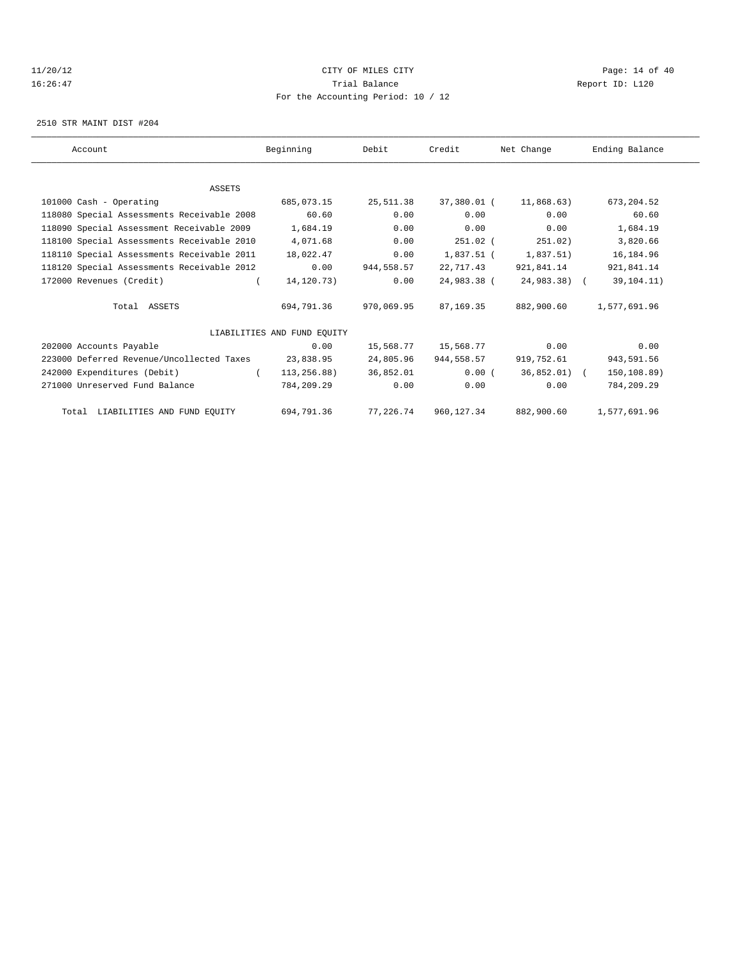#### 11/20/12 **CITY OF MILES CITY CITY PAGE:** 14 of 40 16:26:47 Trial Balance Report ID: L120 For the Accounting Period: 10 / 12

2510 STR MAINT DIST #204

| Account                                    | Beginning                   | Debit      | Credit                 | Net Change                | Ending Balance |
|--------------------------------------------|-----------------------------|------------|------------------------|---------------------------|----------------|
|                                            |                             |            |                        |                           |                |
| <b>ASSETS</b>                              |                             |            |                        |                           |                |
| 101000 Cash - Operating                    | 685,073.15                  | 25,511.38  | 37,380.01 (            | 11,868.63)                | 673, 204.52    |
| 118080 Special Assessments Receivable 2008 | 60.60                       | 0.00       | 0.00                   | 0.00                      | 60.60          |
| 118090 Special Assessment Receivable 2009  | 1,684.19                    | 0.00       | 0.00                   | 0.00                      | 1,684.19       |
| 118100 Special Assessments Receivable 2010 | 4,071.68                    | 0.00       | $251.02$ (             | 251.02)                   | 3,820.66       |
| 118110 Special Assessments Receivable 2011 | 18,022.47                   | 0.00       |                        | $1,837.51$ ( $1,837.51$ ) | 16,184.96      |
| 118120 Special Assessments Receivable 2012 | 0.00                        | 944,558.57 | 22,717.43              | 921,841.14                | 921,841.14     |
| 172000 Revenues (Credit)                   | 14,120.73)                  | 0.00       | 24,983.38 (            | 24,983.38) (              | 39,104.11)     |
| Total ASSETS                               | 694,791.36                  | 970,069.95 | 87, 169, 35            | 882,900.60                | 1,577,691.96   |
|                                            | LIABILITIES AND FUND EOUITY |            |                        |                           |                |
| 202000 Accounts Payable                    | 0.00                        |            | 15,568.77    15,568.77 | 0.00                      | 0.00           |
| 223000 Deferred Revenue/Uncollected Taxes  | 23,838.95                   | 24,805.96  | 944,558.57             | 919,752.61                | 943,591.56     |
| 242000 Expenditures (Debit)                | $\sqrt{2}$<br>113,256.88)   | 36,852.01  | 0.00(                  | 36,852.01) (              | 150, 108.89)   |
| 271000 Unreserved Fund Balance             | 784,209.29                  | 0.00       | 0.00                   | 0.00                      | 784,209.29     |
| Total LIABILITIES AND FUND EQUITY          | 694,791.36                  | 77,226.74  | 960,127.34             | 882,900.60                | 1,577,691.96   |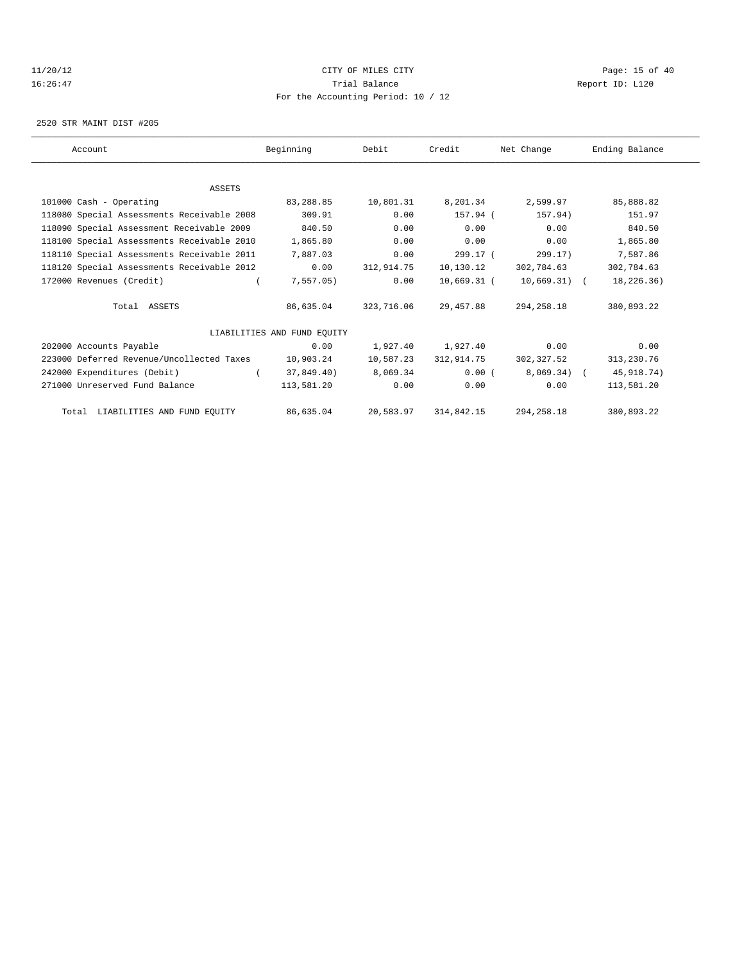#### 11/20/12 **CITY OF MILES CITY CITY CITY Page: 15 of 40** 16:26:47 Trial Balance Report ID: L120 For the Accounting Period: 10 / 12

2520 STR MAINT DIST #205

| Account                                    | Beginning                   | Debit      | Credit      | Net Change   | Ending Balance |
|--------------------------------------------|-----------------------------|------------|-------------|--------------|----------------|
|                                            |                             |            |             |              |                |
|                                            |                             |            |             |              |                |
| <b>ASSETS</b>                              |                             |            |             |              |                |
| 101000 Cash - Operating                    | 83,288.85                   | 10,801.31  | 8,201.34    | 2,599.97     | 85,888.82      |
| 118080 Special Assessments Receivable 2008 | 309.91                      | 0.00       | 157.94 (    | 157.94)      | 151.97         |
| 118090 Special Assessment Receivable 2009  | 840.50                      | 0.00       | 0.00        | 0.00         | 840.50         |
| 118100 Special Assessments Receivable 2010 | 1,865.80                    | 0.00       | 0.00        | 0.00         | 1,865.80       |
| 118110 Special Assessments Receivable 2011 | 7,887.03                    | 0.00       | 299.17 (    | 299.17)      | 7,587.86       |
| 118120 Special Assessments Receivable 2012 | 0.00                        | 312,914.75 | 10,130.12   | 302,784.63   | 302,784.63     |
| 172000 Revenues (Credit)                   | 7,557.05)                   | 0.00       | 10,669.31 ( | 10,669.31) ( | 18,226.36)     |
| Total ASSETS                               | 86,635.04                   | 323,716.06 | 29,457.88   | 294, 258, 18 | 380,893.22     |
|                                            |                             |            |             |              |                |
|                                            | LIABILITIES AND FUND EOUITY |            |             |              |                |
| 202000 Accounts Payable                    | 0.00                        | 1,927.40   | 1,927.40    | 0.00         | 0.00           |
| 223000 Deferred Revenue/Uncollected Taxes  | 10,903.24                   | 10,587.23  | 312,914.75  | 302,327.52   | 313,230.76     |
| 242000 Expenditures (Debit)                | 37,849,40)                  | 8,069.34   | 0.00(       | $8.069.34$ ( | 45, 918. 74)   |
| 271000 Unreserved Fund Balance             | 113,581.20                  | 0.00       | 0.00        | 0.00         | 113,581.20     |
| Total LIABILITIES AND FUND EQUITY          | 86,635.04                   | 20,583.97  | 314,842.15  | 294, 258.18  | 380,893.22     |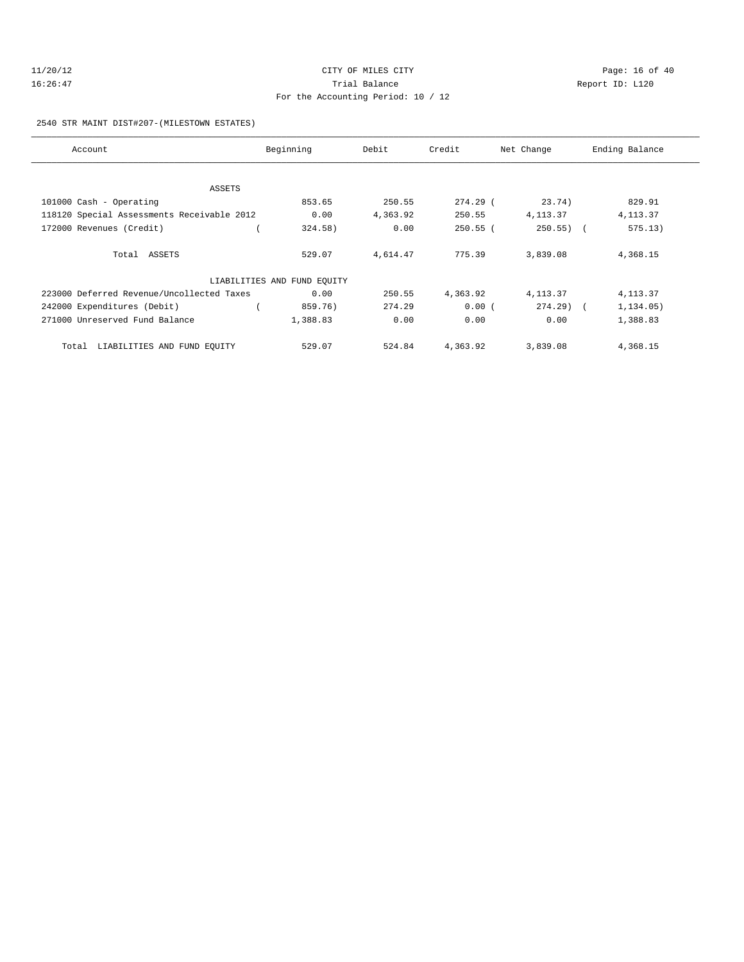# 16:26:47 Trial Balance Report ID: L120 For the Accounting Period: 10 / 12

# 2540 STR MAINT DIST#207-(MILESTOWN ESTATES)

| Account                                    | Beginning                   | Debit    | Credit     | Net Change   | Ending Balance |
|--------------------------------------------|-----------------------------|----------|------------|--------------|----------------|
|                                            |                             |          |            |              |                |
| ASSETS                                     |                             |          |            |              |                |
| 101000 Cash - Operating                    | 853.65                      | 250.55   | $274.29$ ( | 23.74)       | 829.91         |
| 118120 Special Assessments Receivable 2012 | 0.00                        | 4,363.92 | 250.55     | 4, 113.37    | 4, 113.37      |
| 172000 Revenues (Credit)                   | 324.58)                     | 0.00     | $250.55$ ( | $250.55$ ) ( | 575.13)        |
|                                            |                             |          |            |              |                |
| Total ASSETS                               | 529.07                      | 4,614.47 | 775.39     | 3,839.08     | 4,368.15       |
|                                            | LIABILITIES AND FUND EQUITY |          |            |              |                |
| 223000 Deferred Revenue/Uncollected Taxes  | 0.00                        | 250.55   | 4,363.92   | 4, 113.37    | 4, 113.37      |
| 242000 Expenditures (Debit)                | 859.76)                     | 274.29   | 0.00(      | $274.29$ (   | 1,134.05)      |
| 271000 Unreserved Fund Balance             | 1,388.83                    | 0.00     | 0.00       | 0.00         | 1,388.83       |
| LIABILITIES AND FUND EQUITY<br>Total       | 529.07                      | 524.84   | 4,363.92   | 3,839.08     | 4,368.15       |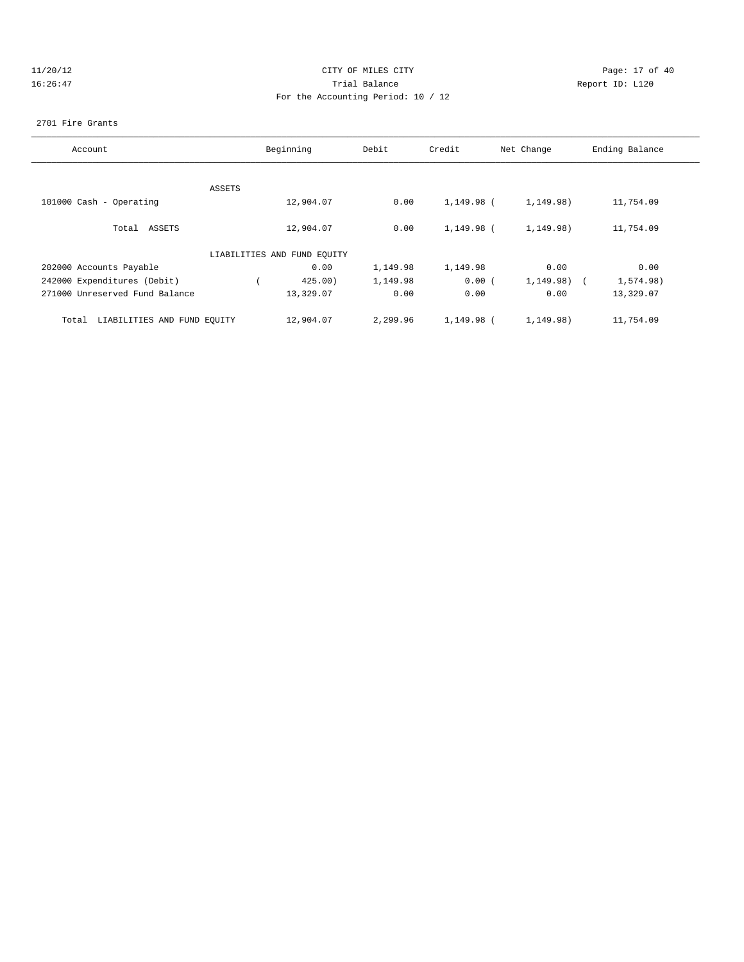# 11/20/12 **Page: 17 of 40** CITY OF MILES CITY **Page: 17 of 40** 16:26:47 Trial Balance Report ID: L120 For the Accounting Period: 10 / 12

#### 2701 Fire Grants

| Account                              | Beginning |                             | Debit    | Credit     | Net Change     | Ending Balance |
|--------------------------------------|-----------|-----------------------------|----------|------------|----------------|----------------|
|                                      |           |                             |          |            |                |                |
|                                      | ASSETS    |                             |          |            |                |                |
| 101000 Cash - Operating              |           | 12,904.07                   | 0.00     | 1,149.98 ( | 1,149.98)      | 11,754.09      |
| Total ASSETS                         |           | 12,904.07                   | 0.00     | 1,149.98 ( | 1,149.98)      | 11,754.09      |
|                                      |           | LIABILITIES AND FUND EQUITY |          |            |                |                |
| 202000 Accounts Payable              |           | 0.00                        | 1,149.98 | 1,149.98   | 0.00           | 0.00           |
| 242000 Expenditures (Debit)          |           | 425.00                      | 1,149.98 | 0.00(      | $1,149.98$ ) ( | 1,574.98)      |
| 271000 Unreserved Fund Balance       |           | 13,329.07                   | 0.00     | 0.00       | 0.00           | 13,329.07      |
| LIABILITIES AND FUND EQUITY<br>Total |           | 12,904.07                   | 2,299.96 | 1,149.98 ( | 1,149.98)      | 11,754.09      |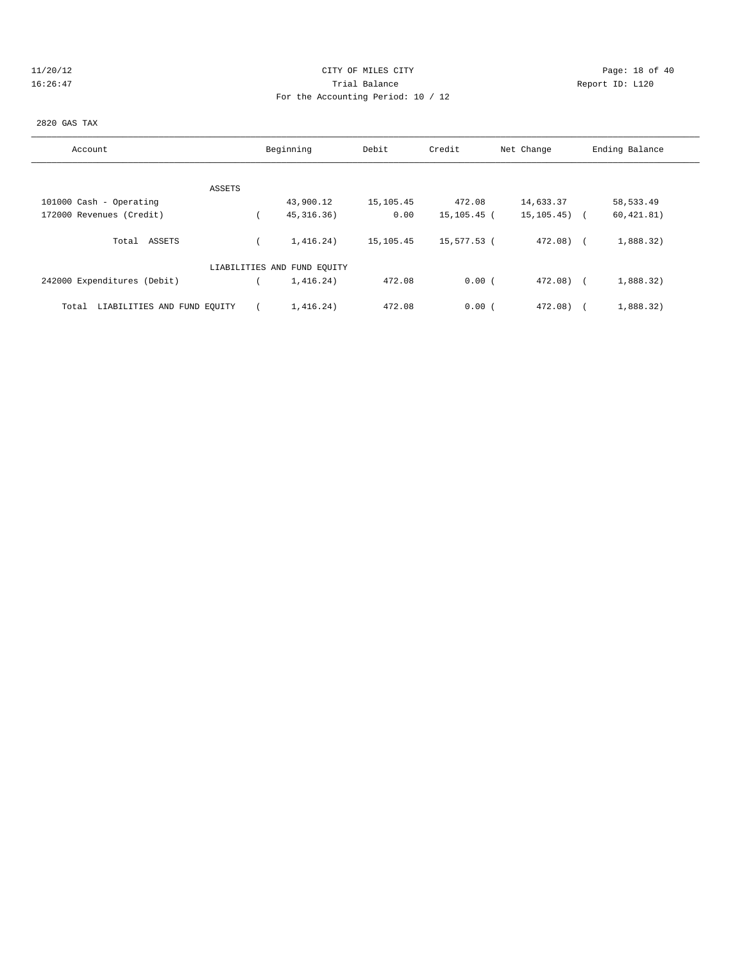# 11/20/12 **Page: 18 of 40** CITY OF MILES CITY **Page: 18 of 40** 16:26:47 Trial Balance Report ID: L120 For the Accounting Period: 10 / 12

#### 2820 GAS TAX

| Account                              | Beginning                   | Debit     | Credit      | Net Change       | Ending Balance |  |
|--------------------------------------|-----------------------------|-----------|-------------|------------------|----------------|--|
|                                      |                             |           |             |                  |                |  |
| ASSETS                               |                             |           |             |                  |                |  |
| 101000 Cash - Operating              | 43,900.12                   | 15,105.45 | 472.08      | 14,633.37        | 58,533.49      |  |
| 172000 Revenues (Credit)             | 45, 316.36)                 | 0.00      | 15,105.45 ( | $15, 105, 45)$ ( | 60, 421.81)    |  |
| Total ASSETS                         | 1,416,24)                   | 15,105.45 | 15,577.53 ( | $472.08$ (       | 1,888.32)      |  |
|                                      | LIABILITIES AND FUND EQUITY |           |             |                  |                |  |
| 242000 Expenditures (Debit)          | 1,416.24)                   | 472.08    | 0.00(       | 472.08)          | 1,888.32)      |  |
| LIABILITIES AND FUND EQUITY<br>Total | 1,416.24)                   | 472.08    | 0.00(       | 472.08)          | 1,888.32)      |  |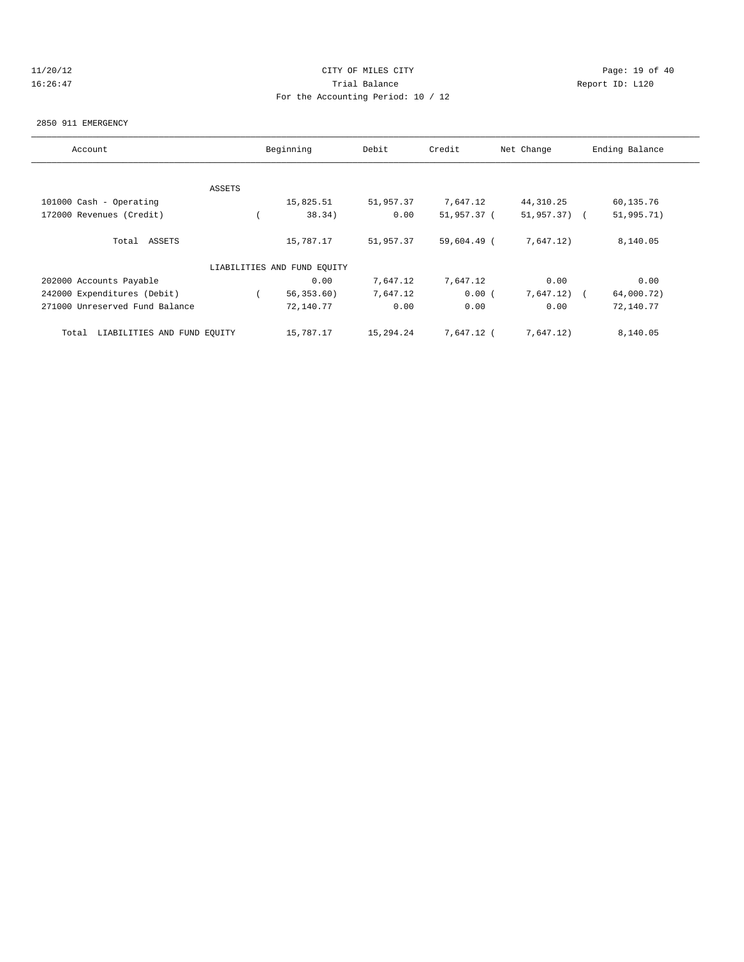# 11/20/12 **Page: 19 of 40** CITY OF MILES CITY **CITY Page: 19 of 40** 16:26:47 Trial Balance Report ID: L120 For the Accounting Period: 10 / 12

#### 2850 911 EMERGENCY

| Account                              | Beginning     |                             | Debit     | Credit      | Net Change   | Ending Balance |
|--------------------------------------|---------------|-----------------------------|-----------|-------------|--------------|----------------|
|                                      |               |                             |           |             |              |                |
|                                      | <b>ASSETS</b> |                             |           |             |              |                |
| 101000 Cash - Operating              |               | 15,825.51                   | 51,957.37 | 7,647.12    | 44, 310.25   | 60,135.76      |
| 172000 Revenues (Credit)             |               | 38.34)                      | 0.00      | 51,957.37 ( | 51,957.37) ( | 51,995.71)     |
| Total ASSETS                         |               | 15,787.17                   | 51,957.37 | 59,604.49 ( | 7,647.12)    | 8,140.05       |
|                                      |               | LIABILITIES AND FUND EQUITY |           |             |              |                |
| 202000 Accounts Payable              |               | 0.00                        | 7,647.12  | 7,647.12    | 0.00         | 0.00           |
| 242000 Expenditures (Debit)          |               | 56, 353.60)                 | 7,647.12  | 0.00(       | 7,647.12)    | 64,000.72)     |
| 271000 Unreserved Fund Balance       |               | 72,140.77                   | 0.00      | 0.00        | 0.00         | 72,140.77      |
| LIABILITIES AND FUND EQUITY<br>Total |               | 15,787.17                   | 15,294.24 | 7,647.12 (  | 7,647.12)    | 8,140.05       |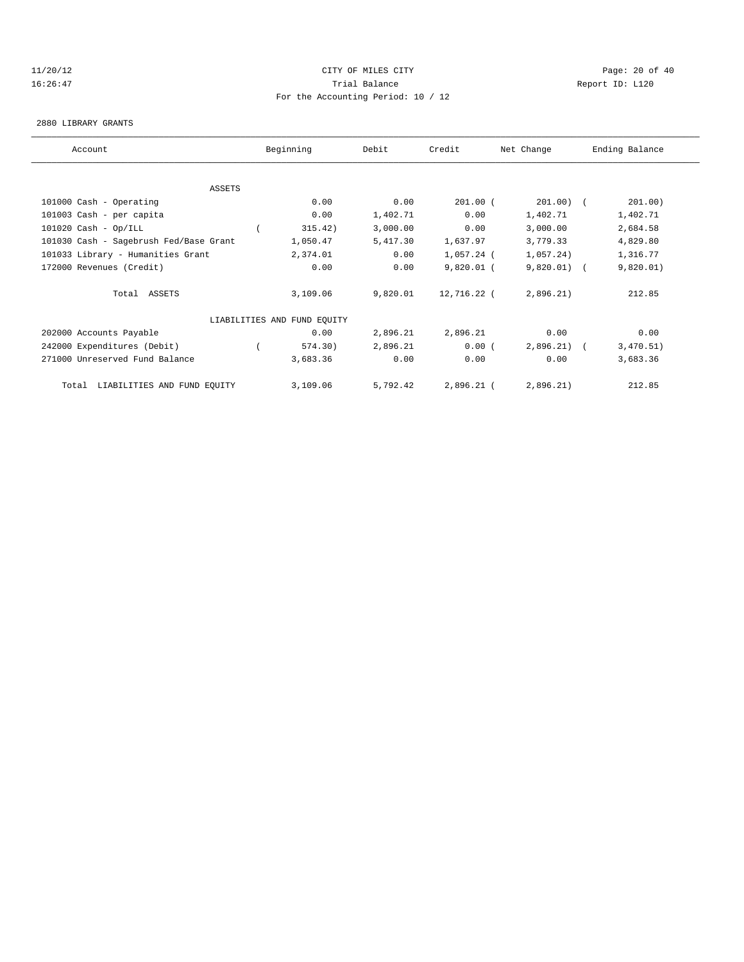#### 11/20/12 **Page: 20 of 40** CITY OF MILES CITY **Page: 20 of 40** 16:26:47 Trial Balance Report ID: L120 For the Accounting Period: 10 / 12

#### 2880 LIBRARY GRANTS

| Account                                |        | Beginning                   | Debit    | Credit       | Net Change    | Ending Balance |
|----------------------------------------|--------|-----------------------------|----------|--------------|---------------|----------------|
|                                        |        |                             |          |              |               |                |
|                                        | ASSETS |                             |          |              |               |                |
| 101000 Cash - Operating                |        | 0.00                        | 0.00     | $201.00$ (   | $201.00)$ (   | 201.00)        |
| 101003 Cash - per capita               |        | 0.00                        | 1,402.71 | 0.00         | 1,402.71      | 1,402.71       |
| $101020$ Cash - Op/ILL                 |        | 315.42)                     | 3,000.00 | 0.00         | 3,000.00      | 2,684.58       |
| 101030 Cash - Sagebrush Fed/Base Grant |        | 1,050.47                    | 5,417.30 | 1,637.97     | 3,779.33      | 4,829.80       |
| 101033 Library - Humanities Grant      |        | 2,374.01                    | 0.00     | 1,057.24 (   | 1,057.24)     | 1,316.77       |
| 172000 Revenues (Credit)               |        | 0.00                        | 0.00     | $9,820.01$ ( | $9,820.01)$ ( | 9,820.01)      |
| Total ASSETS                           |        | 3,109.06                    | 9,820.01 | 12,716.22 (  | 2,896.21)     | 212.85         |
|                                        |        | LIABILITIES AND FUND EQUITY |          |              |               |                |
| 202000 Accounts Payable                |        | 0.00                        | 2,896.21 | 2,896.21     | 0.00          | 0.00           |
| 242000 Expenditures (Debit)            |        | 574.30)                     | 2,896.21 | 0.00(        | $2,896,21$ (  | 3,470.51)      |
| 271000 Unreserved Fund Balance         |        | 3,683.36                    | 0.00     | 0.00         | 0.00          | 3,683.36       |
| LIABILITIES AND FUND EQUITY<br>Total   |        | 3,109.06                    | 5,792.42 | $2,896.21$ ( | 2,896.21)     | 212.85         |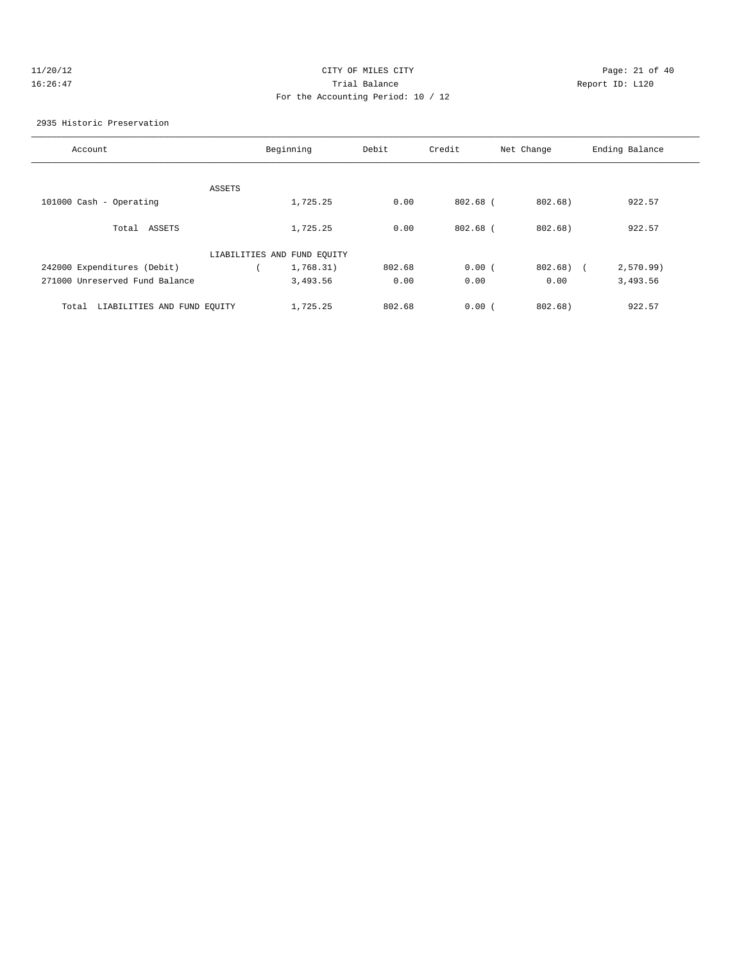# 11/20/12 **Page: 21 of 40** CITY OF MILES CITY **Page: 21 of 40** 16:26:47 Trial Balance Report ID: L120 For the Accounting Period: 10 / 12

2935 Historic Preservation

| Account                              |                             | Beginning | Debit  | Credit     | Net Change | Ending Balance |
|--------------------------------------|-----------------------------|-----------|--------|------------|------------|----------------|
|                                      |                             |           |        |            |            |                |
|                                      | ASSETS                      |           |        |            |            |                |
| 101000 Cash - Operating              |                             | 1,725.25  | 0.00   | 802.68 (   | 802.68)    | 922.57         |
| Total ASSETS                         |                             | 1,725.25  | 0.00   | $802.68$ ( | 802.68)    | 922.57         |
|                                      | LIABILITIES AND FUND EQUITY |           |        |            |            |                |
| 242000 Expenditures (Debit)          |                             | 1,768.31) | 802.68 | 0.00(      | 802.68) (  | 2,570.99       |
| 271000 Unreserved Fund Balance       |                             | 3,493.56  | 0.00   | 0.00       | 0.00       | 3,493.56       |
| LIABILITIES AND FUND EOUITY<br>Total |                             | 1,725.25  | 802.68 | 0.00(      | 802.68)    | 922.57         |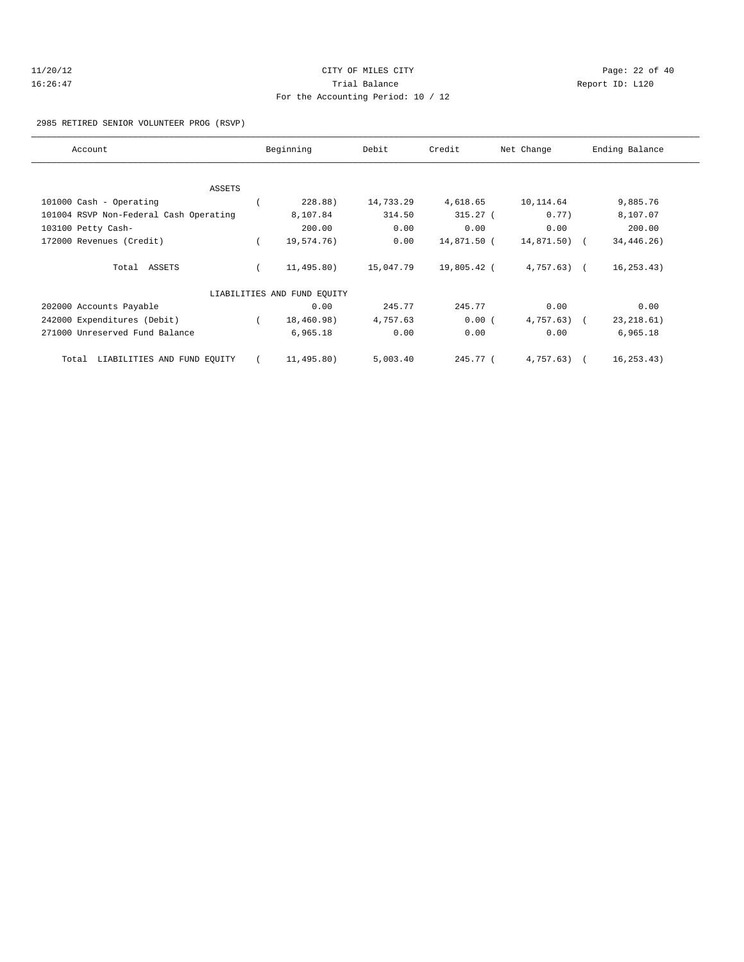| 11/20/12 | CITY OF MILES CITY                 | Page: $22$ of $40$ |
|----------|------------------------------------|--------------------|
| 16:26:47 | Trial Balance                      | Report ID: L120    |
|          | For the Accounting Period: 10 / 12 |                    |

2985 RETIRED SENIOR VOLUNTEER PROG (RSVP)

| Account                                |  | Beginning                   | Debit     | Credit      | Net Change   | Ending Balance |  |
|----------------------------------------|--|-----------------------------|-----------|-------------|--------------|----------------|--|
|                                        |  |                             |           |             |              |                |  |
| ASSETS                                 |  |                             |           |             |              |                |  |
| 101000 Cash - Operating                |  | 228.88)                     | 14,733.29 | 4,618.65    | 10,114.64    | 9,885.76       |  |
| 101004 RSVP Non-Federal Cash Operating |  | 8,107.84                    | 314.50    | $315.27$ (  | 0.77)        | 8,107.07       |  |
| 103100 Petty Cash-                     |  | 200.00                      | 0.00      | 0.00        | 0.00         | 200.00         |  |
| 172000 Revenues (Credit)               |  | 19,574.76)                  | 0.00      | 14,871.50 ( | 14,871.50) ( | 34, 446. 26)   |  |
| Total ASSETS                           |  | 11,495.80)                  | 15,047.79 | 19,805.42 ( | $4,757.63$ ( | 16, 253.43)    |  |
|                                        |  | LIABILITIES AND FUND EQUITY |           |             |              |                |  |
| 202000 Accounts Payable                |  | 0.00                        | 245.77    | 245.77      | 0.00         | 0.00           |  |
| 242000 Expenditures (Debit)            |  | 18,460.98)                  | 4,757.63  | 0.00(       | $4,757.63$ ( | 23, 218.61)    |  |
| 271000 Unreserved Fund Balance         |  | 6,965.18                    | 0.00      | 0.00        | 0.00         | 6,965.18       |  |
| LIABILITIES AND FUND EQUITY<br>Total   |  | 11,495.80)                  | 5,003.40  | 245.77 (    | 4,757.63)    | 16, 253.43)    |  |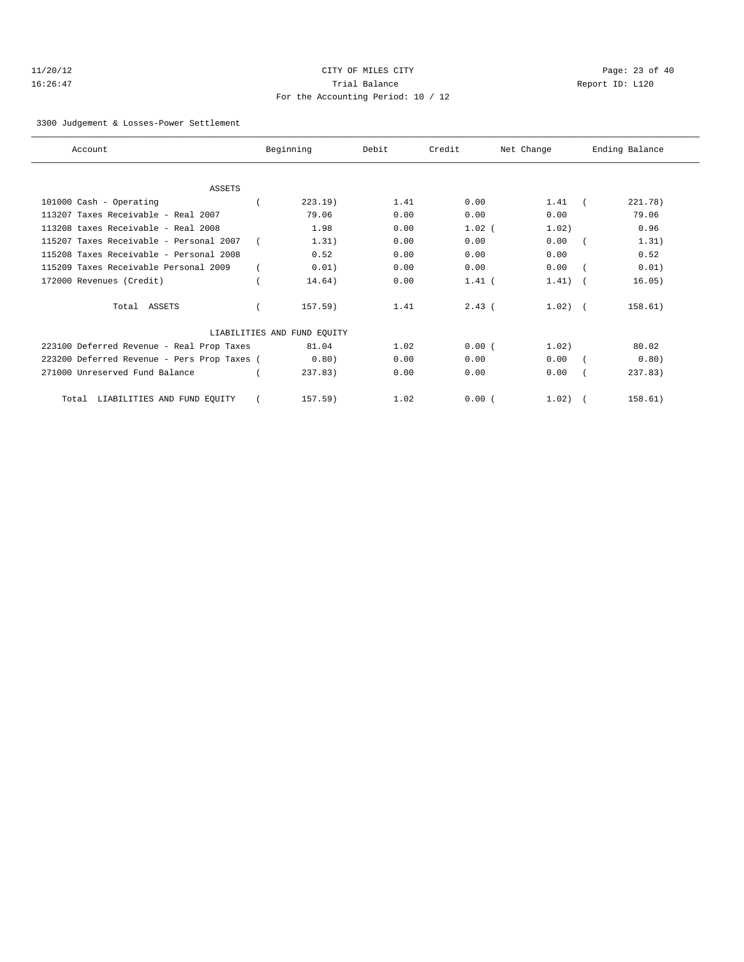# 11/20/12 Page: 23 of 40 16:26:47 Trial Balance Report ID: L120 For the Accounting Period: 10 / 12

#### 3300 Judgement & Losses-Power Settlement

| Account                                     | Beginning                   | Debit | Credit   | Net Change   | Ending Balance |
|---------------------------------------------|-----------------------------|-------|----------|--------------|----------------|
|                                             |                             |       |          |              |                |
| <b>ASSETS</b>                               |                             |       |          |              |                |
| 101000 Cash - Operating                     | 223.19                      | 1.41  | 0.00     | 1.41         | 221.78)        |
| 113207 Taxes Receivable - Real 2007         | 79.06                       | 0.00  | 0.00     | 0.00         | 79.06          |
| 113208 taxes Receivable - Real 2008         | 1.98                        | 0.00  | $1.02$ ( | 1.02)        | 0.96           |
| 115207 Taxes Receivable - Personal 2007     | 1.31)                       | 0.00  | 0.00     | 0.00         | 1.31)          |
| 115208 Taxes Receivable - Personal 2008     | 0.52                        | 0.00  | 0.00     | 0.00         | 0.52           |
| 115209 Taxes Receivable Personal 2009       | 0.01)                       | 0.00  | 0.00     | 0.00         | 0.01)          |
| 172000 Revenues (Credit)                    | 14.64)                      | 0.00  | $1.41$ ( | 1.41)        | 16.05)         |
| Total ASSETS                                | $157.59$ )                  | 1.41  | $2.43$ ( | $1.02$ ) $($ | 158.61)        |
|                                             | LIABILITIES AND FUND EOUITY |       |          |              |                |
| 223100 Deferred Revenue - Real Prop Taxes   | 81.04                       | 1.02  | 0.00(    | 1.02)        | 80.02          |
| 223200 Deferred Revenue - Pers Prop Taxes ( | 0.80)                       | 0.00  | 0.00     | 0.00         | 0.80)          |
| 271000 Unreserved Fund Balance              | 237.83                      | 0.00  | 0.00     | 0.00         | 237.83         |
| LIABILITIES AND FUND EQUITY<br>Total        | 157.59)                     | 1.02  | 0.00(    | 1.02)        | 158.61)        |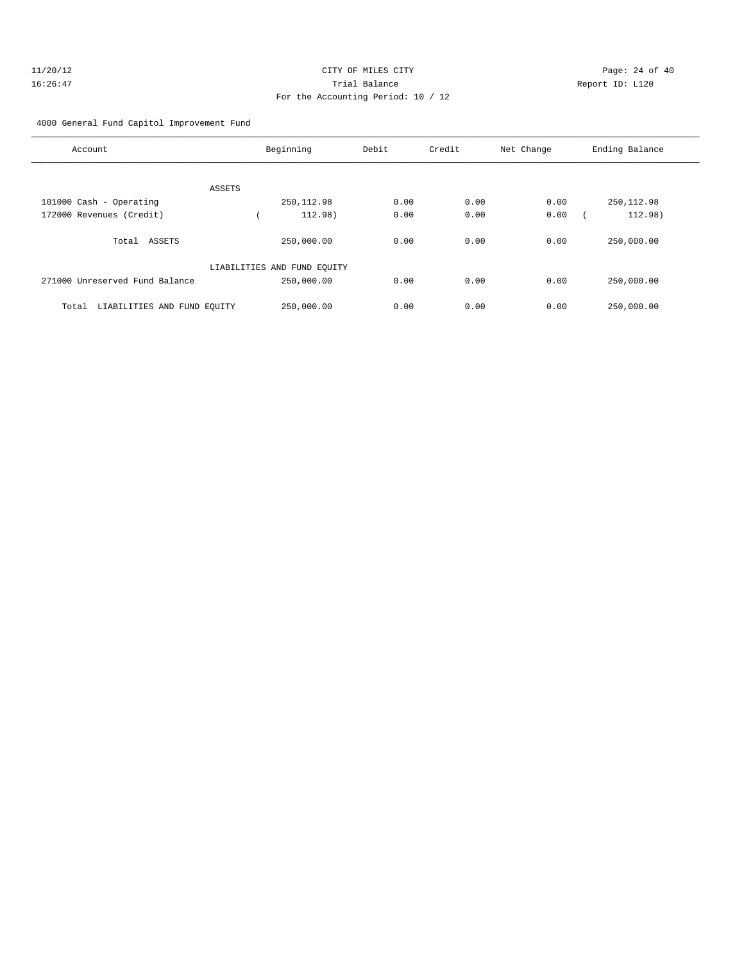# 4000 General Fund Capitol Improvement Fund

| Account                              | Beginning                   | Debit | Credit | Net Change | Ending Balance |
|--------------------------------------|-----------------------------|-------|--------|------------|----------------|
| ASSETS                               |                             |       |        |            |                |
| 101000 Cash - Operating              | 250, 112.98                 | 0.00  | 0.00   | 0.00       | 250, 112.98    |
| 172000 Revenues (Credit)             | 112.98)                     | 0.00  | 0.00   | 0.00       | 112.98)        |
| ASSETS<br>Total                      | 250,000.00                  | 0.00  | 0.00   | 0.00       | 250,000.00     |
|                                      | LIABILITIES AND FUND EQUITY |       |        |            |                |
| 271000 Unreserved Fund Balance       | 250,000.00                  | 0.00  | 0.00   | 0.00       | 250,000.00     |
| LIABILITIES AND FUND EQUITY<br>Total | 250,000.00                  | 0.00  | 0.00   | 0.00       | 250,000.00     |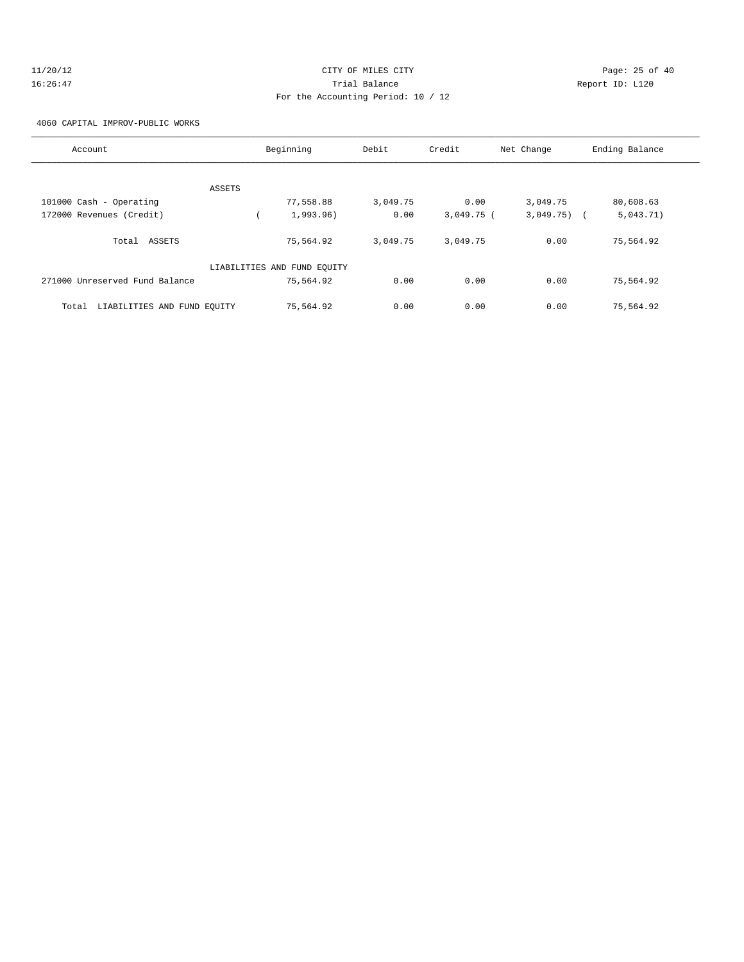# 11/20/12 **Page: 25 of 40** CITY OF MILES CITY **Page: 25 of 40** 16:26:47 Trial Balance Report ID: L120 For the Accounting Period: 10 / 12

4060 CAPITAL IMPROV-PUBLIC WORKS

| Account                              | Beginning                   | Debit    | Credit       | Net Change | Ending Balance |
|--------------------------------------|-----------------------------|----------|--------------|------------|----------------|
|                                      |                             |          |              |            |                |
| ASSETS                               |                             |          |              |            |                |
| 101000 Cash - Operating              | 77,558.88                   | 3,049.75 | 0.00         | 3,049.75   | 80,608.63      |
| 172000 Revenues (Credit)             | 1,993.96)                   | 0.00     | $3,049.75$ ( | 3,049.75)  | 5,043.71)      |
| Total ASSETS                         | 75,564.92                   | 3,049.75 | 3,049.75     | 0.00       | 75,564.92      |
|                                      | LIABILITIES AND FUND EQUITY |          |              |            |                |
| 271000 Unreserved Fund Balance       | 75,564.92                   | 0.00     | 0.00         | 0.00       | 75,564.92      |
| LIABILITIES AND FUND EQUITY<br>Total | 75,564.92                   | 0.00     | 0.00         | 0.00       | 75,564.92      |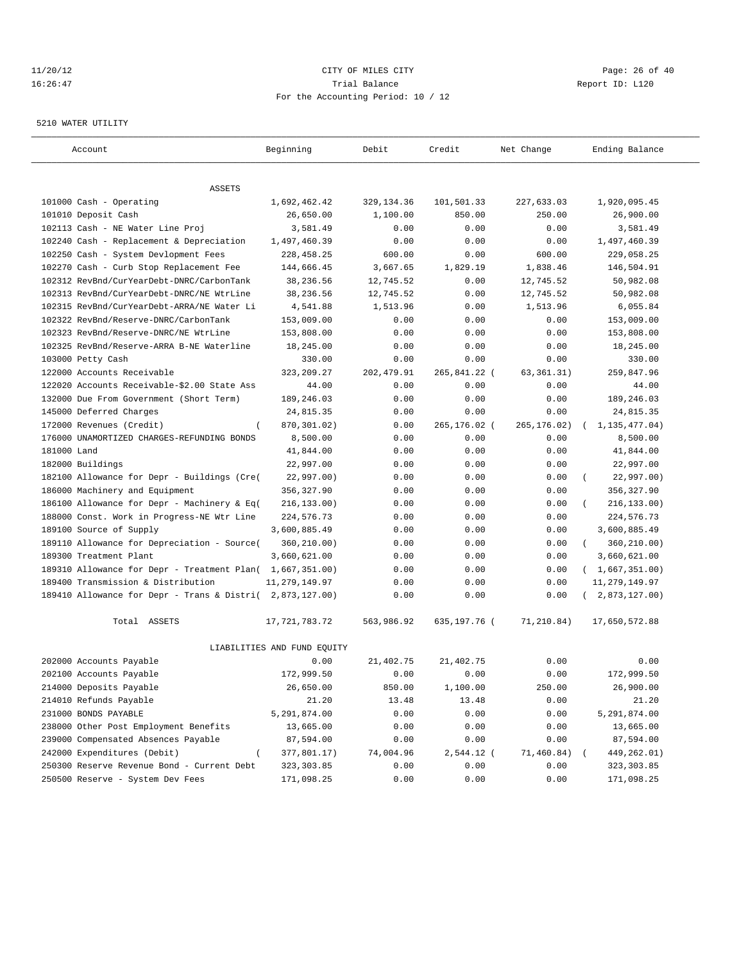#### 11/20/12 **Page: 26 of 40** CITY OF MILES CITY **CITY** Page: 26 of 40 16:26:47 Trial Balance Report ID: L120 For the Accounting Period: 10 / 12

#### 5210 WATER UTILITY

| Account                                                   | Beginning                   | Debit       | Credit       | Net Change   | Ending Balance          |
|-----------------------------------------------------------|-----------------------------|-------------|--------------|--------------|-------------------------|
| ASSETS                                                    |                             |             |              |              |                         |
| 101000 Cash - Operating                                   | 1,692,462.42                | 329, 134.36 | 101,501.33   | 227,633.03   | 1,920,095.45            |
| 101010 Deposit Cash                                       | 26,650.00                   | 1,100.00    | 850.00       | 250.00       | 26,900.00               |
| 102113 Cash - NE Water Line Proj                          | 3,581.49                    | 0.00        | 0.00         | 0.00         | 3,581.49                |
| 102240 Cash - Replacement & Depreciation                  | 1,497,460.39                | 0.00        | 0.00         | 0.00         | 1,497,460.39            |
| 102250 Cash - System Devlopment Fees                      | 228, 458.25                 | 600.00      | 0.00         | 600.00       | 229,058.25              |
| 102270 Cash - Curb Stop Replacement Fee                   | 144,666.45                  | 3,667.65    | 1,829.19     | 1,838.46     | 146,504.91              |
| 102312 RevBnd/CurYearDebt-DNRC/CarbonTank                 | 38,236.56                   | 12,745.52   | 0.00         | 12,745.52    | 50,982.08               |
| 102313 RevBnd/CurYearDebt-DNRC/NE WtrLine                 | 38,236.56                   | 12,745.52   | 0.00         | 12,745.52    | 50,982.08               |
| 102315 RevBnd/CurYearDebt-ARRA/NE Water Li                | 4,541.88                    | 1,513.96    | 0.00         | 1,513.96     | 6,055.84                |
| 102322 RevBnd/Reserve-DNRC/CarbonTank                     | 153,009.00                  | 0.00        | 0.00         | 0.00         | 153,009.00              |
| 102323 RevBnd/Reserve-DNRC/NE WtrLine                     | 153,808.00                  | 0.00        | 0.00         | 0.00         | 153,808.00              |
| 102325 RevBnd/Reserve-ARRA B-NE Waterline                 | 18,245.00                   | 0.00        | 0.00         | 0.00         | 18,245.00               |
| 103000 Petty Cash                                         | 330.00                      | 0.00        | 0.00         | 0.00         | 330.00                  |
| 122000 Accounts Receivable                                | 323, 209. 27                | 202, 479.91 | 265,841.22 ( | 63, 361. 31) | 259,847.96              |
| 122020 Accounts Receivable-\$2.00 State Ass               | 44.00                       | 0.00        | 0.00         | 0.00         | 44.00                   |
| 132000 Due From Government (Short Term)                   | 189,246.03                  | 0.00        | 0.00         | 0.00         | 189,246.03              |
| 145000 Deferred Charges                                   | 24,815.35                   | 0.00        | 0.00         | 0.00         | 24,815.35               |
| 172000 Revenues (Credit)                                  | 870,301.02)                 | 0.00        | 265,176.02 ( | 265,176.02)  | 1, 135, 477.04)         |
| 176000 UNAMORTIZED CHARGES-REFUNDING BONDS                | 8,500.00                    | 0.00        | 0.00         | 0.00         | 8,500.00                |
| 181000 Land                                               | 41,844.00                   | 0.00        | 0.00         | 0.00         | 41,844.00               |
| 182000 Buildings                                          | 22,997.00                   | 0.00        | 0.00         | 0.00         | 22,997.00               |
| 182100 Allowance for Depr - Buildings (Cre(               | 22,997.00)                  | 0.00        | 0.00         | 0.00         | 22,997.00)<br>- 1       |
| 186000 Machinery and Equipment                            | 356,327.90                  | 0.00        | 0.00         | 0.00         | 356, 327.90             |
| 186100 Allowance for Depr - Machinery & Eq(               | 216, 133.00)                | 0.00        | 0.00         | 0.00         | 216, 133.00)            |
| 188000 Const. Work in Progress-NE Wtr Line                | 224,576.73                  | 0.00        | 0.00         | 0.00         | 224,576.73              |
| 189100 Source of Supply                                   | 3,600,885.49                | 0.00        | 0.00         | 0.00         | 3,600,885.49            |
| 189110 Allowance for Depreciation - Source(               | 360,210.00)                 | 0.00        | 0.00         | 0.00         | 360,210.00)<br>$\left($ |
| 189300 Treatment Plant                                    | 3,660,621.00                | 0.00        | 0.00         | 0.00         | 3,660,621.00            |
| 189310 Allowance for Depr - Treatment Plan( 1,667,351.00) |                             | 0.00        | 0.00         | 0.00         | (1,667,351.00)          |
| 189400 Transmission & Distribution                        | 11, 279, 149.97             | 0.00        | 0.00         | 0.00         | 11, 279, 149.97         |
| 189410 Allowance for Depr - Trans & Distri( 2,873,127.00) |                             | 0.00        | 0.00         | 0.00         | 2,873,127.00)           |
| Total ASSETS                                              | 17, 721, 783. 72            | 563,986.92  | 635,197.76 ( | 71,210.84)   | 17,650,572.88           |
|                                                           | LIABILITIES AND FUND EQUITY |             |              |              |                         |
| 202000 Accounts Payable                                   | 0.00                        | 21,402.75   | 21, 402. 75  | 0.00         | 0.00                    |
| 202100 Accounts Payable                                   | 172,999.50                  | 0.00        | 0.00         | 0.00         | 172,999.50              |
| 214000 Deposits Payable                                   | 26,650.00                   | 850.00      | 1,100.00     | 250.00       | 26,900.00               |
| 214010 Refunds Payable                                    | 21.20                       | 13.48       | 13.48        | 0.00         | 21.20                   |
| 231000 BONDS PAYABLE                                      | 5,291,874.00                | 0.00        | 0.00         | 0.00         | 5,291,874.00            |
| 238000 Other Post Employment Benefits                     | 13,665.00                   | 0.00        | 0.00         | 0.00         | 13,665.00               |
| 239000 Compensated Absences Payable                       | 87,594.00                   | 0.00        | 0.00         | 0.00         | 87,594.00               |
| 242000 Expenditures (Debit)                               | 377,801.17)                 | 74,004.96   | 2,544.12 (   | 71,460.84)   | 449,262.01)             |
| 250300 Reserve Revenue Bond - Current Debt                | 323, 303.85                 | 0.00        | 0.00         | 0.00         | 323, 303.85             |
| 250500 Reserve - System Dev Fees                          | 171,098.25                  | 0.00        | 0.00         | 0.00         | 171,098.25              |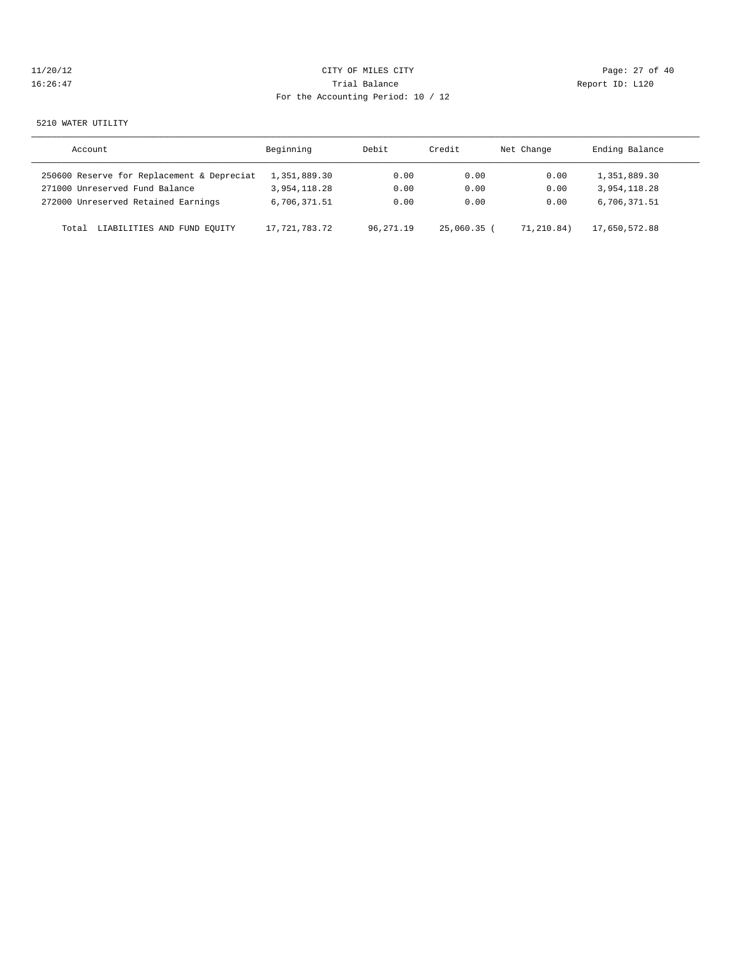| 11/20/12 |  |  |  |
|----------|--|--|--|
| 16:26:47 |  |  |  |

# CITY OF MILES CITY CONTROL CONTROL CONTROL CONTROL CONTROL PAGE: 27 of 40 16:41 Trial Balance and Communications of the Report ID: L120 For the Accounting Period: 10 / 12

#### 5210 WATER UTILITY

| Account                                    | Beginning     | Debit     | Credit      | Net Change | Ending Balance |
|--------------------------------------------|---------------|-----------|-------------|------------|----------------|
| 250600 Reserve for Replacement & Depreciat | 1,351,889.30  | 0.00      | 0.00        | 0.00       | 1,351,889.30   |
| 271000 Unreserved Fund Balance             | 3,954,118.28  | 0.00      | 0.00        | 0.00       | 3,954,118.28   |
| 272000 Unreserved Retained Earnings        | 6,706,371.51  | 0.00      | 0.00        | 0.00       | 6,706,371.51   |
| LIABILITIES AND FUND EQUITY<br>Total       | 17,721,783.72 | 96,271.19 | 25,060.35 ( | 71,210.84) | 17,650,572.88  |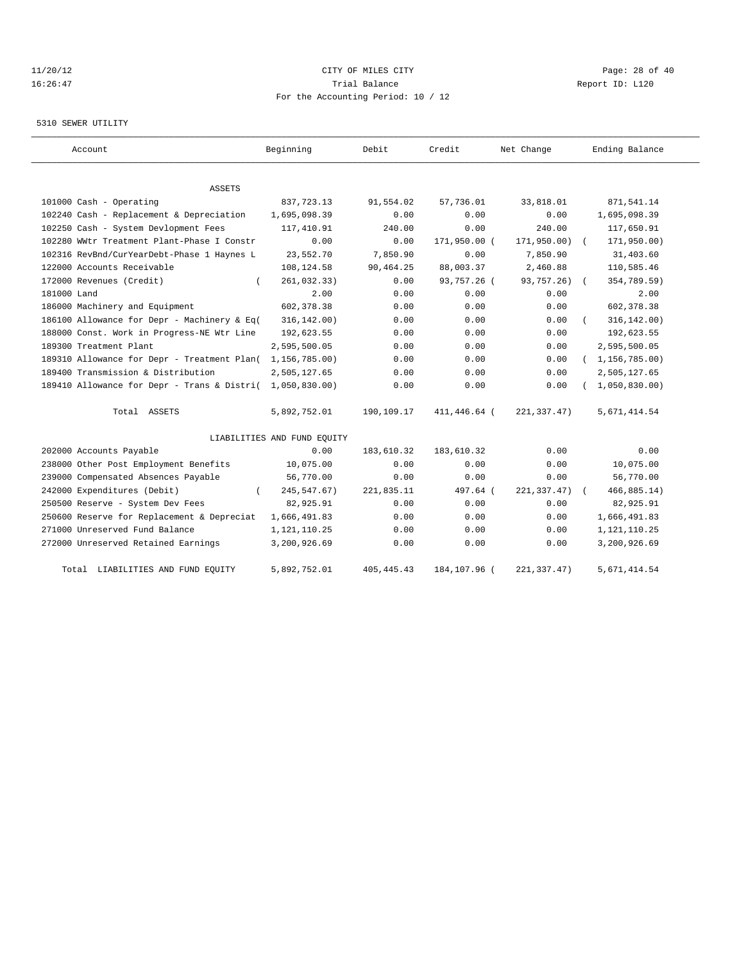# 11/20/12 **CITY OF MILES CITY CITY CITY Page: 28 of 40** 16:26:47 Trial Balance Report ID: L120 For the Accounting Period: 10 / 12

#### 5310 SEWER UTILITY

| Account                                     | Beginning                   | Debit        | Credit       | Net Change   | Ending Balance   |
|---------------------------------------------|-----------------------------|--------------|--------------|--------------|------------------|
| ASSETS                                      |                             |              |              |              |                  |
| 101000 Cash - Operating                     | 837, 723. 13                | 91,554.02    | 57,736.01    | 33,818.01    | 871,541.14       |
| 102240 Cash - Replacement & Depreciation    | 1,695,098.39                | 0.00         | 0.00         | 0.00         | 1,695,098.39     |
| 102250 Cash - System Devlopment Fees        | 117,410.91                  | 240.00       | 0.00         | 240.00       | 117,650.91       |
| 102280 WWtr Treatment Plant-Phase I Constr  | 0.00                        | 0.00         | 171,950.00 ( | 171,950.00)  | 171,950.00)      |
| 102316 RevBnd/CurYearDebt-Phase 1 Haynes L  | 23,552.70                   | 7,850.90     | 0.00         | 7,850.90     | 31,403.60        |
| 122000 Accounts Receivable                  | 108,124.58                  | 90,464.25    | 88,003.37    | 2,460.88     | 110,585.46       |
| 172000 Revenues (Credit)                    | 261,032.33)                 | 0.00         | 93,757.26 (  | 93,757.26) ( | 354,789.59)      |
| 181000 Land                                 | 2.00                        | 0.00         | 0.00         | 0.00         | 2.00             |
| 186000 Machinery and Equipment              | 602,378.38                  | 0.00         | 0.00         | 0.00         | 602, 378.38      |
| 186100 Allowance for Depr - Machinery & Eq( | 316, 142.00)                | 0.00         | 0.00         | 0.00         | 316, 142.00)     |
| 188000 Const. Work in Progress-NE Wtr Line  | 192,623.55                  | 0.00         | 0.00         | 0.00         | 192,623.55       |
| 189300 Treatment Plant                      | 2,595,500.05                | 0.00         | 0.00         | 0.00         | 2,595,500.05     |
| 189310 Allowance for Depr - Treatment Plan( | 1,156,785.00)               | 0.00         | 0.00         | 0.00         | (1, 156, 785.00) |
| 189400 Transmission & Distribution          | 2,505,127.65                | 0.00         | 0.00         | 0.00         | 2,505,127.65     |
| 189410 Allowance for Depr - Trans & Distri( | 1,050,830.00                | 0.00         | 0.00         | 0.00         | 1,050,830.00     |
| Total ASSETS                                | 5,892,752.01                | 190,109.17   | 411,446.64 ( | 221,337.47)  | 5,671,414.54     |
|                                             | LIABILITIES AND FUND EQUITY |              |              |              |                  |
| 202000 Accounts Payable                     | 0.00                        | 183,610.32   | 183,610.32   | 0.00         | 0.00             |
| 238000 Other Post Employment Benefits       | 10,075.00                   | 0.00         | 0.00         | 0.00         | 10,075.00        |
| 239000 Compensated Absences Payable         | 56,770.00                   | 0.00         | 0.00         | 0.00         | 56,770.00        |
| 242000 Expenditures (Debit)                 | 245, 547.67)                | 221,835.11   | 497.64 (     | 221, 337.47) | 466, 885.14)     |
| 250500 Reserve - System Dev Fees            | 82,925.91                   | 0.00         | 0.00         | 0.00         | 82,925.91        |
| 250600 Reserve for Replacement & Depreciat  | 1,666,491.83                | 0.00         | 0.00         | 0.00         | 1,666,491.83     |
| 271000 Unreserved Fund Balance              | 1,121,110.25                | 0.00         | 0.00         | 0.00         | 1, 121, 110.25   |
| 272000 Unreserved Retained Earnings         | 3,200,926.69                | 0.00         | 0.00         | 0.00         | 3,200,926.69     |
| Total LIABILITIES AND FUND EQUITY           | 5,892,752.01                | 405, 445. 43 | 184,107.96 ( | 221, 337.47) | 5,671,414.54     |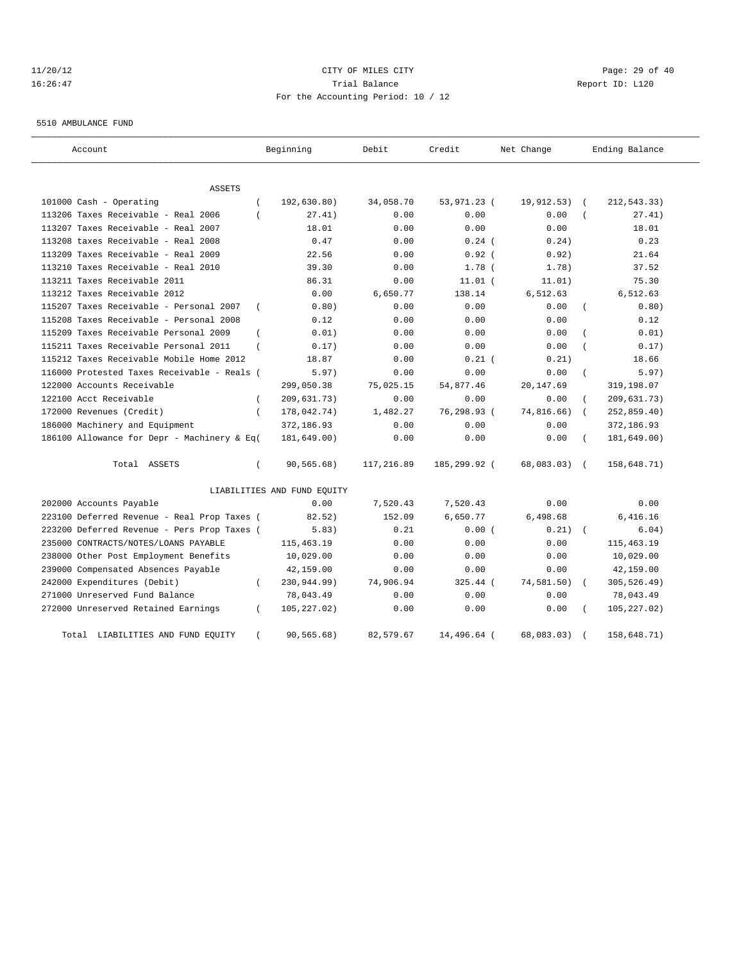# 11/20/12 **Page: 29 of 40** CITY OF MILES CITY **CITY** Page: 29 of 40 16:26:47 Trial Balance Report ID: L120 For the Accounting Period: 10 / 12

5510 AMBULANCE FUND

| Account                                                   | Beginning                   | Debit      | Credit       | Net Change | Ending Balance            |
|-----------------------------------------------------------|-----------------------------|------------|--------------|------------|---------------------------|
| <b>ASSETS</b>                                             |                             |            |              |            |                           |
| 101000 Cash - Operating                                   | 192,630.80)                 | 34,058.70  | 53,971.23 (  | 19,912.53) | 212,543.33)               |
| 113206 Taxes Receivable - Real 2006                       | 27.41)                      | 0.00       | 0.00         | 0.00       | 27.41)                    |
| 113207 Taxes Receivable - Real 2007                       | 18.01                       | 0.00       | 0.00         | 0.00       | 18.01                     |
| 113208 taxes Receivable - Real 2008                       | 0.47                        | 0.00       | $0.24$ (     | 0.24)      | 0.23                      |
| 113209 Taxes Receivable - Real 2009                       | 22.56                       | 0.00       | 0.92(        | 0.92)      | 21.64                     |
| 113210 Taxes Receivable - Real 2010                       | 39.30                       | 0.00       | $1.78$ (     | 1.78)      | 37.52                     |
| 113211 Taxes Receivable 2011                              | 86.31                       | 0.00       | $11.01$ (    | 11.01)     | 75.30                     |
| 113212 Taxes Receivable 2012                              | 0.00                        | 6,650.77   | 138.14       | 6,512.63   | 6,512.63                  |
| 115207 Taxes Receivable - Personal 2007<br>$\overline{ }$ | 0.80)                       | 0.00       | 0.00         | 0.00       | 0.80)                     |
| 115208 Taxes Receivable - Personal 2008                   | 0.12                        | 0.00       | 0.00         | 0.00       | 0.12                      |
| 115209 Taxes Receivable Personal 2009                     | 0.01)                       | 0.00       | 0.00         | 0.00       | 0.01)                     |
| 115211 Taxes Receivable Personal 2011<br>$\overline{ }$   | 0.17)                       | 0.00       | 0.00         | 0.00       | 0.17)                     |
| 115212 Taxes Receivable Mobile Home 2012                  | 18.87                       | 0.00       | $0.21$ (     | 0.21)      | 18.66                     |
| 116000 Protested Taxes Receivable - Reals (               | 5.97)                       | 0.00       | 0.00         | 0.00       | 5.97)                     |
| 122000 Accounts Receivable                                | 299,050.38                  | 75,025.15  | 54,877.46    | 20,147.69  | 319,198.07                |
| 122100 Acct Receivable                                    | 209,631.73)                 | 0.00       | 0.00         | 0.00       | 209,631.73)               |
| 172000 Revenues (Credit)                                  | 178,042.74)<br>$\left($     | 1,482.27   | 76,298.93 (  | 74,816.66) | 252,859.40)<br>$\left($   |
| 186000 Machinery and Equipment                            | 372,186.93                  | 0.00       | 0.00         | 0.00       | 372,186.93                |
| 186100 Allowance for Depr - Machinery & Eq(               | 181,649.00)                 | 0.00       | 0.00         | 0.00       | 181,649.00)               |
| Total ASSETS<br>$\left($                                  | 90, 565.68)                 | 117,216.89 | 185,299.92 ( | 68,083.03) | 158,648.71)<br>$\sqrt{2}$ |
|                                                           | LIABILITIES AND FUND EQUITY |            |              |            |                           |
| 202000 Accounts Payable                                   | 0.00                        | 7,520.43   | 7,520.43     | 0.00       | 0.00                      |
| 223100 Deferred Revenue - Real Prop Taxes (               | 82.52)                      | 152.09     | 6,650.77     | 6,498.68   | 6,416.16                  |
| 223200 Deferred Revenue - Pers Prop Taxes (               | 5.83)                       | 0.21       | 0.00(        | 0.21)      | 6.04)<br>$\sqrt{2}$       |
| 235000 CONTRACTS/NOTES/LOANS PAYABLE                      | 115,463.19                  | 0.00       | 0.00         | 0.00       | 115, 463.19               |
| 238000 Other Post Employment Benefits                     | 10,029.00                   | 0.00       | 0.00         | 0.00       | 10,029.00                 |
| 239000 Compensated Absences Payable                       | 42,159.00                   | 0.00       | 0.00         | 0.00       | 42,159.00                 |
| 242000 Expenditures (Debit)                               | 230,944.99)<br>- 1          | 74,906.94  | $325.44$ (   | 74,581.50) | 305,526.49)               |
| 271000 Unreserved Fund Balance                            | 78,043.49                   | 0.00       | 0.00         | 0.00       | 78,043.49                 |
| 272000 Unreserved Retained Earnings                       | 105,227.02)<br>- 1          | 0.00       | 0.00         | 0.00       | 105, 227.02)              |
| Total<br>LIABILITIES AND FUND EQUITY                      | 90,565.68)                  | 82,579.67  | 14,496.64 (  | 68,083.03) | 158,648.71)               |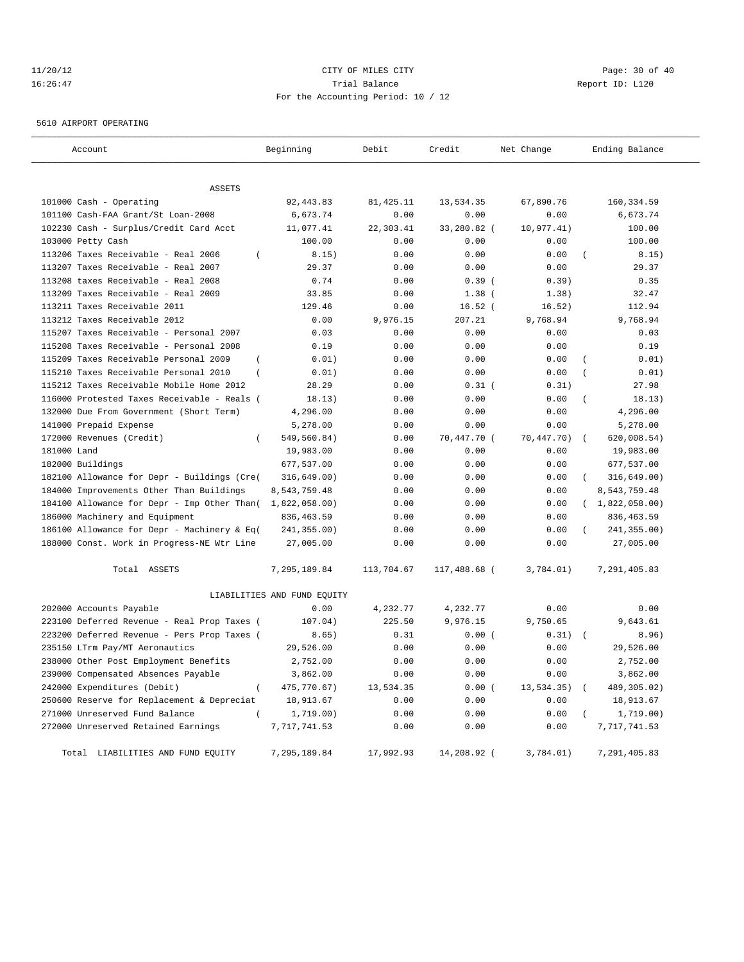# 11/20/12 **Page: 30 of 40 CITY CONSIDER CITY CITY Page: 30 of 40 Page: 30 of 40** 16:26:47 Trial Balance Report ID: L120 For the Accounting Period: 10 / 12

5610 AIRPORT OPERATING

| Account                                                 | Beginning                   | Debit      | Credit       | Net Change | Ending Balance            |
|---------------------------------------------------------|-----------------------------|------------|--------------|------------|---------------------------|
|                                                         |                             |            |              |            |                           |
| <b>ASSETS</b>                                           |                             |            |              |            |                           |
| 101000 Cash - Operating                                 | 92, 443.83                  | 81, 425.11 | 13,534.35    | 67,890.76  | 160, 334.59               |
| 101100 Cash-FAA Grant/St Loan-2008                      | 6,673.74                    | 0.00       | 0.00         | 0.00       | 6,673.74                  |
| 102230 Cash - Surplus/Credit Card Acct                  | 11,077.41                   | 22,303.41  | 33,280.82 (  | 10,977.41) | 100.00                    |
| 103000 Petty Cash                                       | 100.00                      | 0.00       | 0.00         | 0.00       | 100.00                    |
| 113206 Taxes Receivable - Real 2006<br>$\overline{(\ }$ | 8.15)                       | 0.00       | 0.00         | 0.00       | 8.15)                     |
| 113207 Taxes Receivable - Real 2007                     | 29.37                       | 0.00       | 0.00         | 0.00       | 29.37                     |
| 113208 taxes Receivable - Real 2008                     | 0.74                        | 0.00       | 0.39(        | 0.39)      | 0.35                      |
| 113209 Taxes Receivable - Real 2009                     | 33.85                       | 0.00       | $1.38$ (     | 1.38)      | 32.47                     |
| 113211 Taxes Receivable 2011                            | 129.46                      | 0.00       | $16.52$ (    | 16.52)     | 112.94                    |
| 113212 Taxes Receivable 2012                            | 0.00                        | 9,976.15   | 207.21       | 9,768.94   | 9,768.94                  |
| 115207 Taxes Receivable - Personal 2007                 | 0.03                        | 0.00       | 0.00         | 0.00       | 0.03                      |
| 115208 Taxes Receivable - Personal 2008                 | 0.19                        | 0.00       | 0.00         | 0.00       | 0.19                      |
| 115209 Taxes Receivable Personal 2009<br>$\overline{ }$ | 0.01)                       | 0.00       | 0.00         | 0.00       | 0.01)<br>$\overline{ }$   |
| 115210 Taxes Receivable Personal 2010<br>$\overline{ }$ | 0.01)                       | 0.00       | 0.00         | 0.00       | 0.01)                     |
| 115212 Taxes Receivable Mobile Home 2012                | 28.29                       | 0.00       | $0.31$ (     | 0.31)      | 27.98                     |
| 116000 Protested Taxes Receivable - Reals (             | 18.13)                      | 0.00       | 0.00         | 0.00       | $\overline{(}$<br>18.13)  |
| 132000 Due From Government (Short Term)                 | 4,296.00                    | 0.00       | 0.00         | 0.00       | 4,296.00                  |
| 141000 Prepaid Expense                                  | 5,278.00                    | 0.00       | 0.00         | 0.00       | 5,278.00                  |
| 172000 Revenues (Credit)<br>$\left($                    | 549,560.84)                 | 0.00       | 70,447.70 (  | 70,447.70) | 620,008.54)<br>$\sqrt{ }$ |
| 181000 Land                                             | 19,983.00                   | 0.00       | 0.00         | 0.00       | 19,983.00                 |
| 182000 Buildings                                        | 677,537.00                  | 0.00       | 0.00         | 0.00       | 677,537.00                |
| 182100 Allowance for Depr - Buildings (Cre(             | 316,649.00)                 | 0.00       | 0.00         | 0.00       | 316, 649.00)              |
| 184000 Improvements Other Than Buildings                | 8,543,759.48                | 0.00       | 0.00         | 0.00       | 8,543,759.48              |
| 184100 Allowance for Depr - Imp Other Than(             | 1,822,058.00)               | 0.00       | 0.00         | 0.00       | (1,822,058.00)            |
| 186000 Machinery and Equipment                          | 836, 463.59                 | 0.00       | 0.00         | 0.00       | 836, 463.59               |
| 186100 Allowance for Depr - Machinery & Eq(             | 241,355.00)                 | 0.00       | 0.00         | 0.00       | 241,355.00)               |
| 188000 Const. Work in Progress-NE Wtr Line              | 27,005.00                   | 0.00       | 0.00         | 0.00       | 27,005.00                 |
| Total ASSETS                                            | 7,295,189.84                | 113,704.67 | 117,488.68 ( | 3,784.01)  | 7,291,405.83              |
|                                                         | LIABILITIES AND FUND EQUITY |            |              |            |                           |
| 202000 Accounts Payable                                 | 0.00                        | 4,232.77   | 4,232.77     | 0.00       | 0.00                      |
| 223100 Deferred Revenue - Real Prop Taxes (             | 107.04)                     | 225.50     | 9,976.15     | 9,750.65   | 9,643.61                  |
| 223200 Deferred Revenue - Pers Prop Taxes (             | 8.65)                       | 0.31       | 0.00(        | 0.31)      | 8.96)<br>$\sqrt{2}$       |
| 235150 LTrm Pay/MT Aeronautics                          | 29,526.00                   | 0.00       | 0.00         | 0.00       | 29,526.00                 |
| 238000 Other Post Employment Benefits                   | 2,752.00                    | 0.00       | 0.00         | 0.00       | 2,752.00                  |
| 239000 Compensated Absences Payable                     | 3,862.00                    | 0.00       | 0.00         | 0.00       | 3,862.00                  |
| 242000 Expenditures (Debit)<br>$\overline{ }$           | 475,770.67)                 | 13,534.35  | 0.00(        | 13,534.35) | 489,305.02)<br>$\sqrt{ }$ |
| 250600 Reserve for Replacement & Depreciat              | 18,913.67                   | 0.00       | 0.00         | 0.00       | 18,913.67                 |
| 271000 Unreserved Fund Balance<br>$\left($              | 1,719.00)                   | 0.00       | 0.00         | 0.00       | 1,719.00)                 |
| 272000 Unreserved Retained Earnings                     | 7,717,741.53                | 0.00       | 0.00         | 0.00       | 7,717,741.53              |
| Total LIABILITIES AND FUND EOUITY                       | 7,295,189.84                | 17,992.93  | 14,208.92 (  | 3,784.01)  | 7,291,405.83              |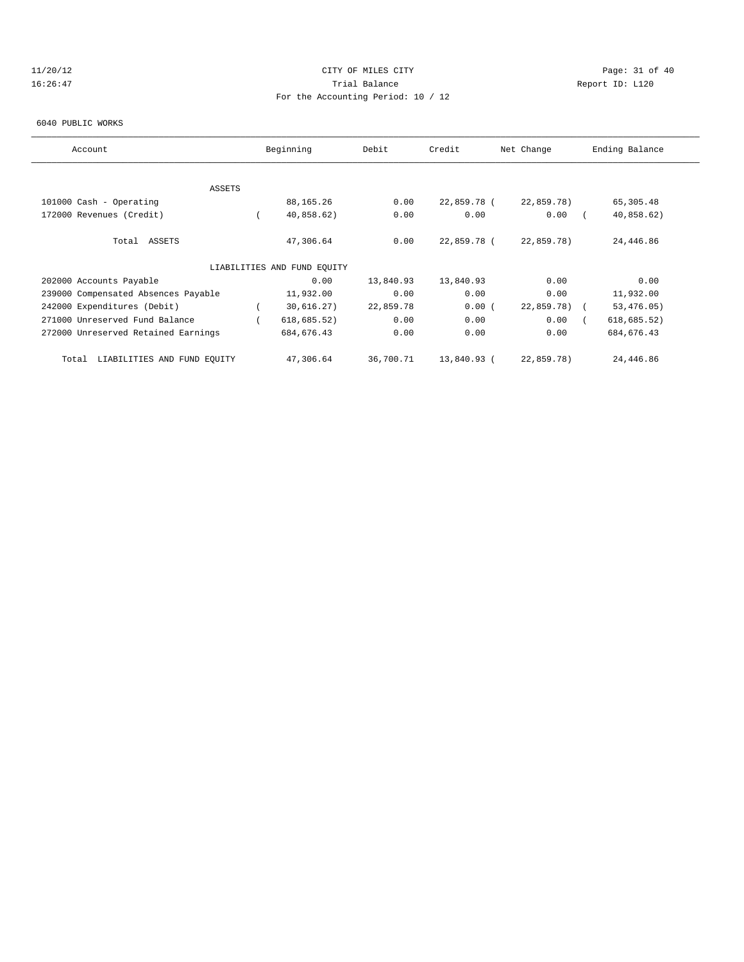# 11/20/12 Page: 31 of 40 16:26:47 Trial Balance Report ID: L120 For the Accounting Period: 10 / 12

#### 6040 PUBLIC WORKS

| Account                              | Beginning                   | Debit     | Credit      | Net Change    | Ending Balance |
|--------------------------------------|-----------------------------|-----------|-------------|---------------|----------------|
| ASSETS                               |                             |           |             |               |                |
| 101000 Cash - Operating              | 88,165.26                   | 0.00      | 22,859.78 ( | 22,859.78)    | 65,305.48      |
| 172000 Revenues (Credit)             | 40,858.62)                  | 0.00      | 0.00        | 0.00          | 40,858.62)     |
| Total ASSETS                         | 47,306.64                   | 0.00      | 22,859.78 ( | 22,859.78)    | 24,446.86      |
|                                      | LIABILITIES AND FUND EQUITY |           |             |               |                |
| 202000 Accounts Payable              | 0.00                        | 13,840.93 | 13,840.93   | 0.00          | 0.00           |
| 239000 Compensated Absences Payable  | 11,932.00                   | 0.00      | 0.00        | 0.00          | 11,932.00      |
| 242000 Expenditures (Debit)          | 30,616.27)                  | 22,859.78 | 0.00(       | $22,859.78$ ( | 53, 476.05)    |
| 271000 Unreserved Fund Balance       | 618, 685.52)                | 0.00      | 0.00        | 0.00          | 618, 685.52)   |
| 272000 Unreserved Retained Earnings  | 684, 676.43                 | 0.00      | 0.00        | 0.00          | 684, 676.43    |
| LIABILITIES AND FUND EQUITY<br>Total | 47,306.64                   | 36,700.71 | 13,840.93 ( | 22,859.78)    | 24,446.86      |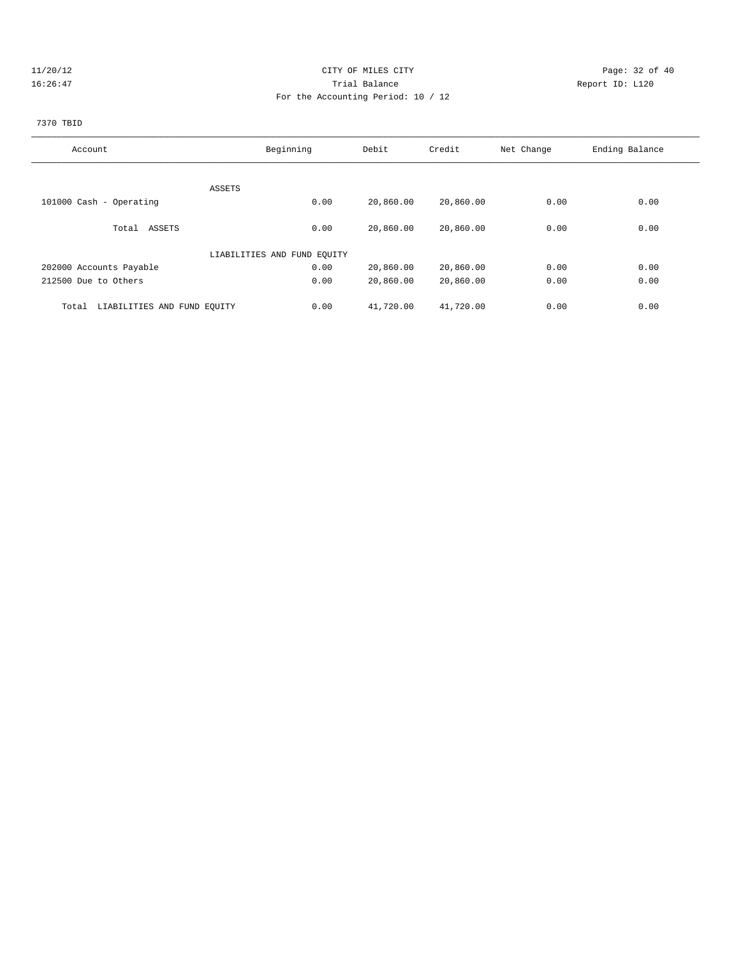# 11/20/12 Page: 32 of 40 16:26:47 Trial Balance Report ID: L120 For the Accounting Period: 10 / 12

# 7370 TBID

| Account                              | Beginning                   | Debit     | Credit    | Net Change | Ending Balance |
|--------------------------------------|-----------------------------|-----------|-----------|------------|----------------|
|                                      |                             |           |           |            |                |
| ASSETS                               |                             |           |           |            |                |
| 101000 Cash - Operating              | 0.00                        | 20,860.00 | 20,860.00 | 0.00       | 0.00           |
| Total ASSETS                         | 0.00                        | 20,860.00 | 20,860.00 | 0.00       | 0.00           |
|                                      | LIABILITIES AND FUND EQUITY |           |           |            |                |
| 202000 Accounts Payable              | 0.00                        | 20,860.00 | 20,860.00 | 0.00       | 0.00           |
| 212500 Due to Others                 | 0.00                        | 20,860.00 | 20,860.00 | 0.00       | 0.00           |
| LIABILITIES AND FUND EQUITY<br>Total | 0.00                        | 41,720.00 | 41,720.00 | 0.00       | 0.00           |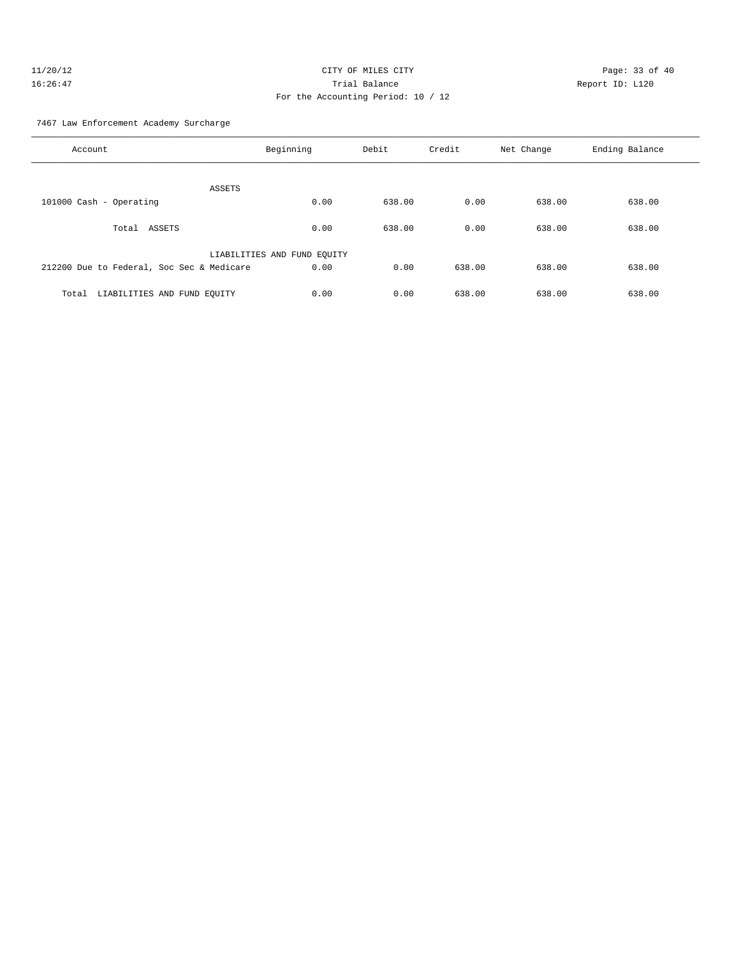#### 7467 Law Enforcement Academy Surcharge

| Account                                   | Beginning                   | Debit  | Credit | Net Change | Ending Balance |
|-------------------------------------------|-----------------------------|--------|--------|------------|----------------|
| ASSETS                                    |                             |        |        |            |                |
| 101000 Cash - Operating                   | 0.00                        | 638.00 | 0.00   | 638.00     | 638.00         |
| Total ASSETS                              | 0.00                        | 638.00 | 0.00   | 638.00     | 638.00         |
|                                           | LIABILITIES AND FUND EQUITY |        |        |            |                |
| 212200 Due to Federal, Soc Sec & Medicare | 0.00                        | 0.00   | 638.00 | 638.00     | 638.00         |
| LIABILITIES AND FUND EQUITY<br>Total      | 0.00                        | 0.00   | 638.00 | 638.00     | 638.00         |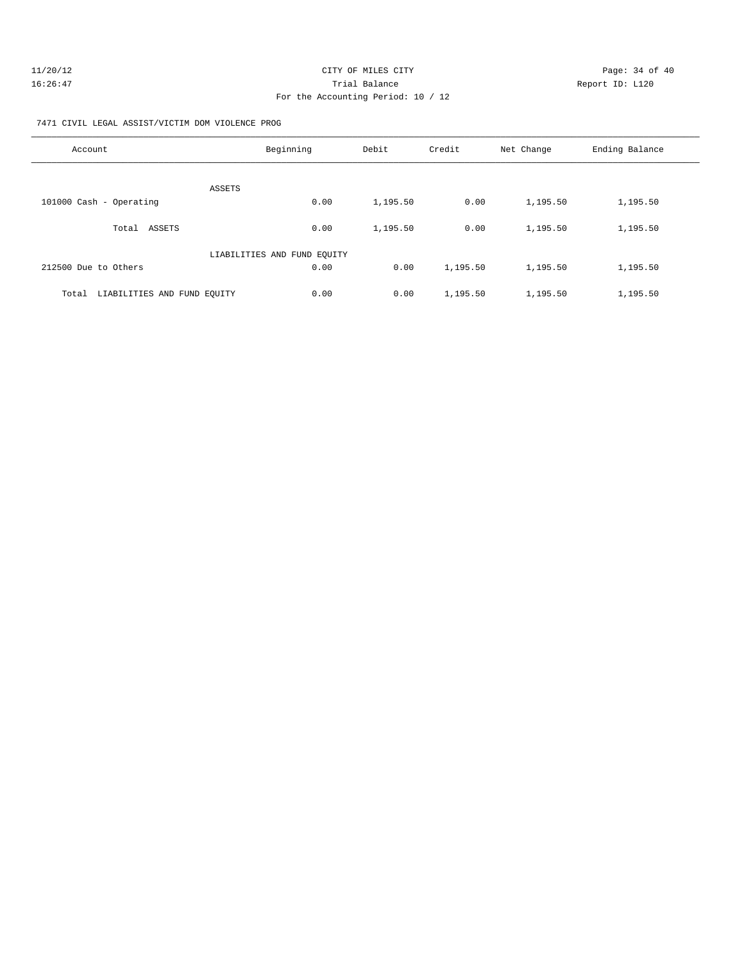| 11/20/12 | CITY OF MILES CITY                 | Page: 34 of 40  |
|----------|------------------------------------|-----------------|
| 16:26:47 | Trial Balance                      | Report ID: L120 |
|          | For the Accounting Period: 10 / 12 |                 |

7471 CIVIL LEGAL ASSIST/VICTIM DOM VIOLENCE PROG

| Account                              | Beginning                   | Debit    | Credit   | Net Change | Ending Balance |
|--------------------------------------|-----------------------------|----------|----------|------------|----------------|
| ASSETS                               |                             |          |          |            |                |
| 101000 Cash - Operating              | 0.00                        | 1,195.50 | 0.00     | 1,195.50   | 1,195.50       |
| ASSETS<br>Total                      | 0.00                        | 1,195.50 | 0.00     | 1,195.50   | 1,195.50       |
|                                      | LIABILITIES AND FUND EQUITY |          |          |            |                |
| 212500 Due to Others                 | 0.00                        | 0.00     | 1,195.50 | 1,195.50   | 1,195.50       |
| LIABILITIES AND FUND EOUITY<br>Total | 0.00                        | 0.00     | 1,195.50 | 1,195.50   | 1,195.50       |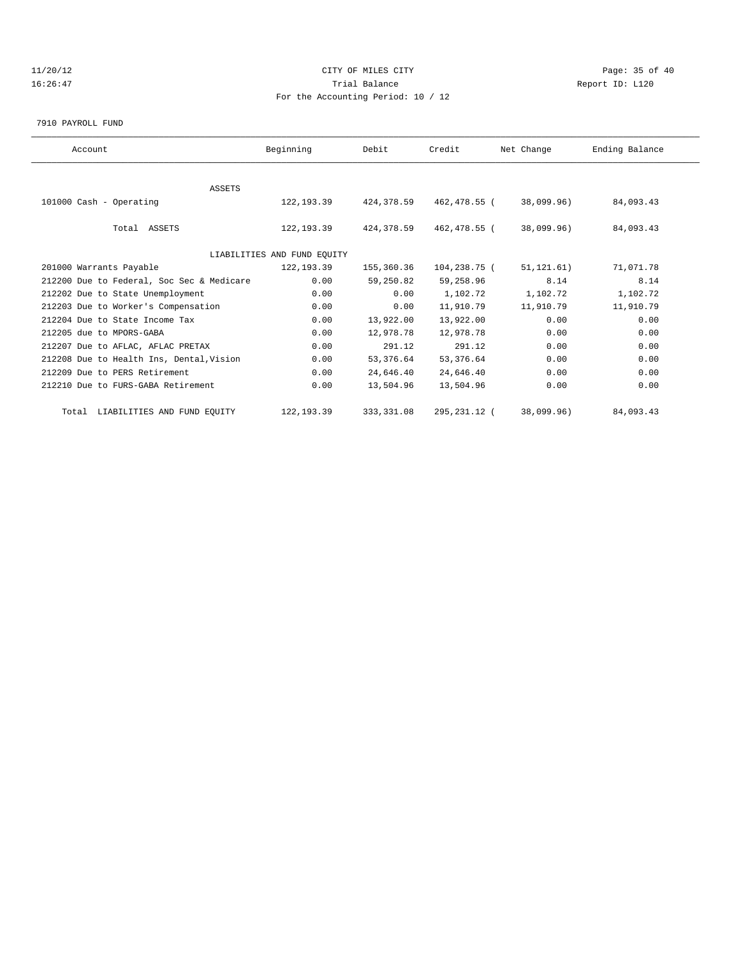# 11/20/12 **Page: 35 of 40** CITY OF MILES CITY **CITY** Page: 35 of 40 16:26:47 Trial Balance Report ID: L120 For the Accounting Period: 10 / 12

7910 PAYROLL FUND

| Account                                   | Beginning                   | Debit       | Credit       | Net Change   | Ending Balance |  |
|-------------------------------------------|-----------------------------|-------------|--------------|--------------|----------------|--|
|                                           |                             |             |              |              |                |  |
| ASSETS                                    |                             |             |              |              |                |  |
| 101000 Cash - Operating                   | 122,193.39                  | 424,378.59  | 462,478.55 ( | 38,099.96)   | 84,093.43      |  |
|                                           |                             |             |              |              |                |  |
| Total ASSETS                              | 122,193.39                  | 424,378.59  | 462,478.55 ( | 38,099.96)   | 84,093.43      |  |
|                                           |                             |             |              |              |                |  |
|                                           | LIABILITIES AND FUND EQUITY |             |              |              |                |  |
| 201000 Warrants Payable                   | 122, 193.39                 | 155,360.36  | 104,238.75 ( | 51, 121, 61) | 71,071.78      |  |
| 212200 Due to Federal, Soc Sec & Medicare | 0.00                        | 59,250.82   | 59,258.96    | 8.14         | 8.14           |  |
| 212202 Due to State Unemployment          | 0.00                        | 0.00        | 1,102.72     | 1,102.72     | 1,102.72       |  |
| 212203 Due to Worker's Compensation       | 0.00                        | 0.00        | 11,910.79    | 11,910.79    | 11,910.79      |  |
| 212204 Due to State Income Tax            | 0.00                        | 13,922.00   | 13,922.00    | 0.00         | 0.00           |  |
| 212205 due to MPORS-GABA                  | 0.00                        | 12,978.78   | 12,978.78    | 0.00         | 0.00           |  |
| 212207 Due to AFLAC, AFLAC PRETAX         | 0.00                        | 291.12      | 291.12       | 0.00         | 0.00           |  |
| 212208 Due to Health Ins, Dental, Vision  | 0.00                        | 53,376.64   | 53, 376.64   | 0.00         | 0.00           |  |
| 212209 Due to PERS Retirement             | 0.00                        | 24,646.40   | 24,646.40    | 0.00         | 0.00           |  |
| 212210 Due to FURS-GABA Retirement        | 0.00                        | 13,504.96   | 13,504.96    | 0.00         | 0.00           |  |
| Total LIABILITIES AND FUND EQUITY         | 122, 193.39                 | 333, 331.08 | 295,231.12 ( | 38,099.96)   | 84,093.43      |  |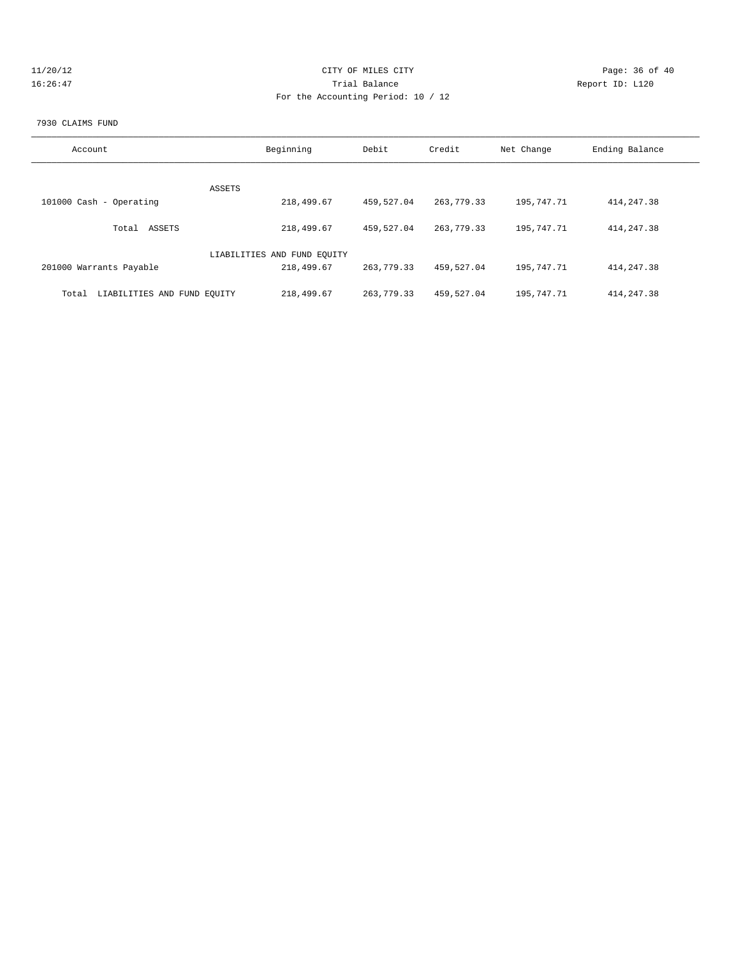| 11/20/12 | CITY OF MILES CITY                 | Page: 36 of 40  |
|----------|------------------------------------|-----------------|
| 16:26:47 | Trial Balance                      | Report ID: L120 |
|          | For the Accounting Period: 10 / 12 |                 |

#### 7930 CLAIMS FUND

| Account                              | Beginning                   | Debit      | Credit       | Net Change | Ending Balance |
|--------------------------------------|-----------------------------|------------|--------------|------------|----------------|
|                                      |                             |            |              |            |                |
|                                      | ASSETS                      |            |              |            |                |
| 101000 Cash - Operating              | 218,499.67                  | 459,527.04 | 263,779.33   | 195,747.71 | 414, 247.38    |
| ASSETS<br>Total                      | 218,499.67                  | 459,527.04 | 263, 779. 33 | 195,747.71 | 414, 247.38    |
|                                      | LIABILITIES AND FUND EQUITY |            |              |            |                |
| 201000 Warrants Payable              | 218,499.67                  | 263,779.33 | 459,527.04   | 195,747.71 | 414, 247.38    |
| LIABILITIES AND FUND EOUITY<br>Total | 218,499.67                  | 263,779.33 | 459,527.04   | 195,747.71 | 414, 247.38    |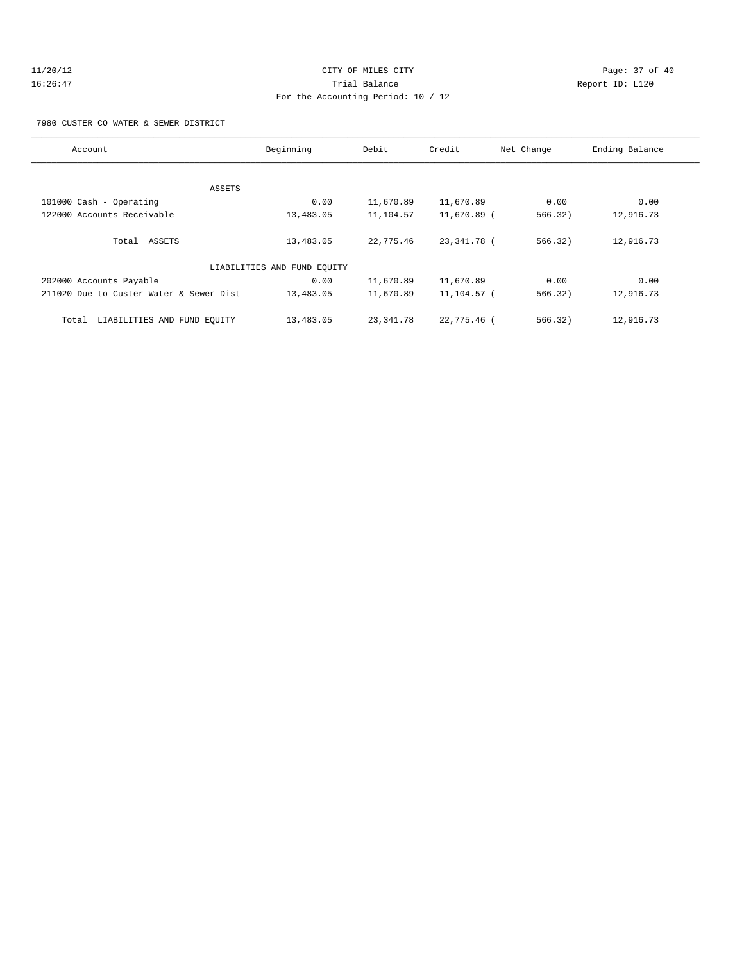# 11/20/12 **Page: 37 of 40** CITY OF MILES CITY **Page: 37 of 40** 16:26:47 Trial Balance Report ID: L120 For the Accounting Period: 10 / 12

7980 CUSTER CO WATER & SEWER DISTRICT

| Account                                 | Beginning                   | Debit     | Credit      | Net Change | Ending Balance |
|-----------------------------------------|-----------------------------|-----------|-------------|------------|----------------|
|                                         |                             |           |             |            |                |
|                                         | ASSETS                      |           |             |            |                |
| 101000 Cash - Operating                 | 0.00                        | 11,670.89 | 11,670.89   | 0.00       | 0.00           |
| 122000 Accounts Receivable              | 13,483.05                   | 11,104.57 | 11,670.89 ( | 566.32)    | 12,916.73      |
| Total ASSETS                            | 13,483.05                   | 22,775.46 | 23,341.78 ( | 566.32)    | 12,916.73      |
|                                         | LIABILITIES AND FUND EQUITY |           |             |            |                |
| 202000 Accounts Payable                 | 0.00                        | 11,670.89 | 11,670.89   | 0.00       | 0.00           |
| 211020 Due to Custer Water & Sewer Dist | 13,483.05                   | 11,670.89 | 11,104.57 ( | 566.32)    | 12,916.73      |
| LIABILITIES AND FUND EQUITY<br>Total    | 13,483.05                   | 23,341.78 | 22,775.46 ( | 566.32)    | 12,916.73      |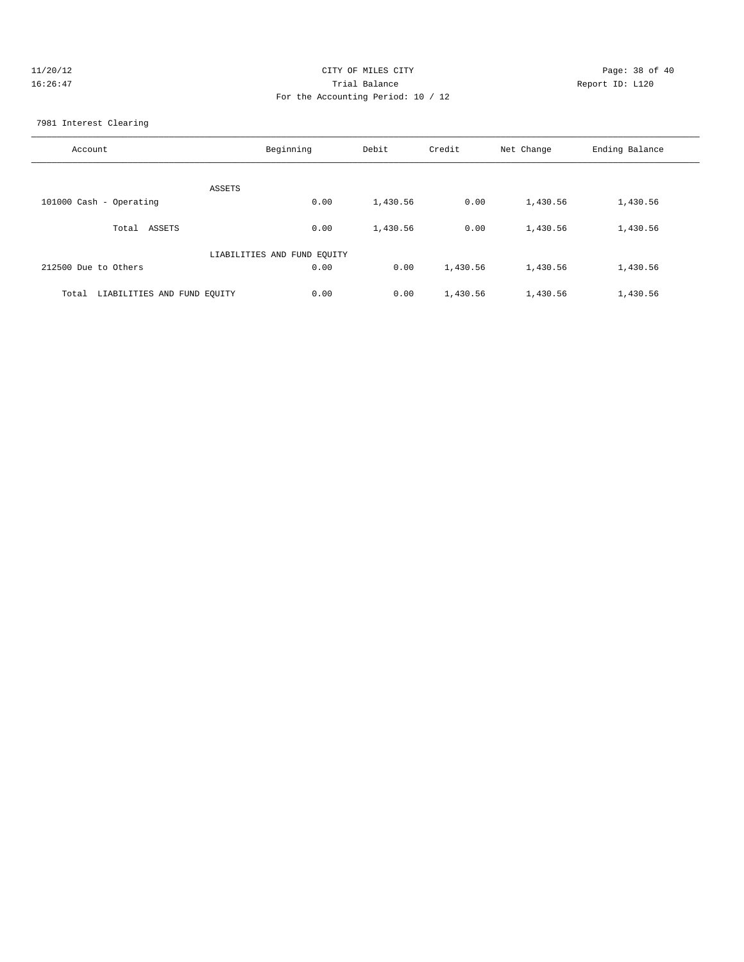| 11/20/12 | CITY OF MILES CITY                 | Page: 38 of 40  |
|----------|------------------------------------|-----------------|
| 16:26:47 | Trial Balance                      | Report ID: L120 |
|          | For the Accounting Period: 10 / 12 |                 |

7981 Interest Clearing

| Account                              | Beginning                   | Debit    | Credit   | Net Change | Ending Balance |
|--------------------------------------|-----------------------------|----------|----------|------------|----------------|
| ASSETS                               |                             |          |          |            |                |
| 101000 Cash - Operating              | 0.00                        | 1,430.56 | 0.00     | 1,430.56   | 1,430.56       |
| ASSETS<br>Total                      | 0.00                        | 1,430.56 | 0.00     | 1,430.56   | 1,430.56       |
|                                      | LIABILITIES AND FUND EQUITY |          |          |            |                |
| 212500 Due to Others                 | 0.00                        | 0.00     | 1,430.56 | 1,430.56   | 1,430.56       |
| LIABILITIES AND FUND EOUITY<br>Total | 0.00                        | 0.00     | 1,430.56 | 1,430.56   | 1,430.56       |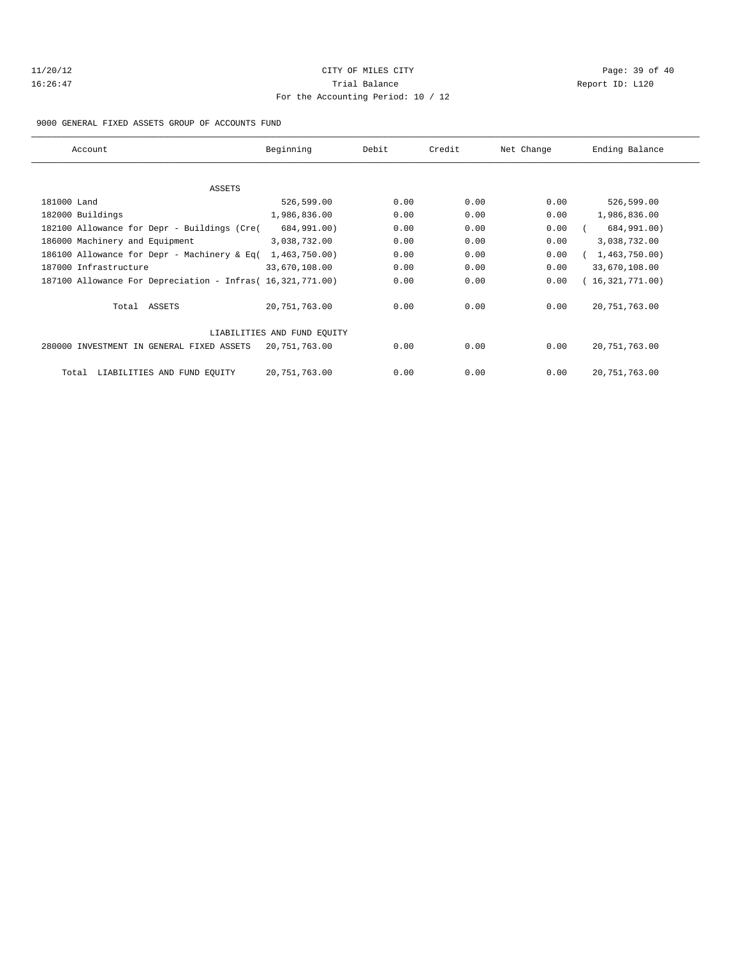# 11/20/12 **Page: 39 of 40 CITY OF MILES CITY CITY Page: 39 of 40** 16:26:47 Trial Balance Report ID: L120 For the Accounting Period: 10 / 12

#### 9000 GENERAL FIXED ASSETS GROUP OF ACCOUNTS FUND

| Account                                                    | Beginning                   | Debit | Credit | Net Change | Ending Balance  |
|------------------------------------------------------------|-----------------------------|-------|--------|------------|-----------------|
|                                                            |                             |       |        |            |                 |
| ASSETS                                                     |                             |       |        |            |                 |
| 181000 Land                                                | 526,599.00                  | 0.00  | 0.00   | 0.00       | 526,599.00      |
| 182000 Buildings                                           | 1,986,836.00                | 0.00  | 0.00   | 0.00       | 1,986,836.00    |
| 182100 Allowance for Depr - Buildings (Cre(                | 684,991.00)                 | 0.00  | 0.00   | 0.00       | 684,991.00)     |
| 186000 Machinery and Equipment                             | 3,038,732.00                | 0.00  | 0.00   | 0.00       | 3,038,732.00    |
| 186100 Allowance for Depr - Machinery & Eq(                | 1,463,750.00)               | 0.00  | 0.00   | 0.00       | 1,463,750.00)   |
| 187000 Infrastructure                                      | 33,670,108.00               | 0.00  | 0.00   | 0.00       | 33,670,108.00   |
| 187100 Allowance For Depreciation - Infras( 16,321,771.00) |                             | 0.00  | 0.00   | 0.00       | (16,321,771.00) |
| Total ASSETS                                               | 20,751,763.00               | 0.00  | 0.00   | 0.00       | 20, 751, 763.00 |
|                                                            | LIABILITIES AND FUND EQUITY |       |        |            |                 |
| 280000 INVESTMENT IN GENERAL FIXED ASSETS                  | 20,751,763.00               | 0.00  | 0.00   | 0.00       | 20, 751, 763.00 |
| LIABILITIES AND FUND EQUITY<br>Total                       | 20,751,763.00               | 0.00  | 0.00   | 0.00       | 20, 751, 763.00 |